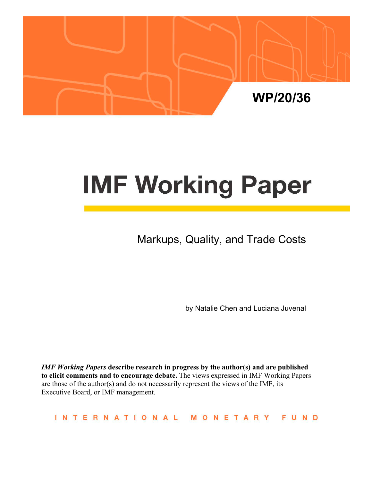

# **IMF Working Paper**

Markups, Quality, and Trade Costs

by Natalie Chen and Luciana Juvenal

*IMF Working Papers* **describe research in progress by the author(s) and are published to elicit comments and to encourage debate.** The views expressed in IMF Working Papers are those of the author(s) and do not necessarily represent the views of the IMF, its Executive Board, or IMF management.

INTERNATIONAL MONETARY FUND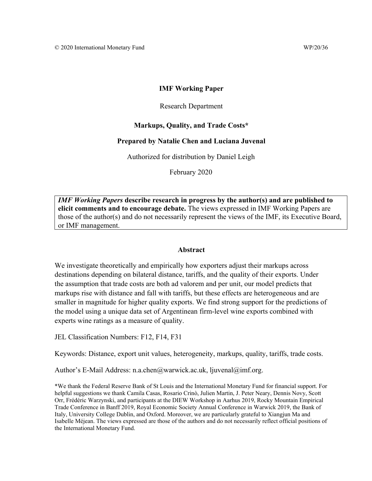## **IMF Working Paper**

## Research Department

## **Markups, Quality, and Trade Costs\***

## **Prepared by Natalie Chen and Luciana Juvenal**

Authorized for distribution by Daniel Leigh

February 2020

*IMF Working Papers* **describe research in progress by the author(s) and are published to elicit comments and to encourage debate.** The views expressed in IMF Working Papers are those of the author(s) and do not necessarily represent the views of the IMF, its Executive Board, or IMF management.

#### **Abstract**

We investigate theoretically and empirically how exporters adjust their markups across destinations depending on bilateral distance, tariffs, and the quality of their exports. Under the assumption that trade costs are both ad valorem and per unit, our model predicts that markups rise with distance and fall with tariffs, but these effects are heterogeneous and are smaller in magnitude for higher quality exports. We find strong support for the predictions of the model using a unique data set of Argentinean firm-level wine exports combined with experts wine ratings as a measure of quality.

JEL Classification Numbers: F12, F14, F31

Keywords: Distance, export unit values, heterogeneity, markups, quality, tariffs, trade costs.

Author's E-Mail Address: n.a.chen@warwick.ac.uk, ljuvenal@imf.org.

\*We thank the Federal Reserve Bank of St Louis and the International Monetary Fund for financial support. For helpful suggestions we thank Camila Casas, Rosario Crinò, Julien Martin, J. Peter Neary, Dennis Novy, Scott Orr, Frédéric Warzynski, and participants at the DIEW Workshop in Aarhus 2019, Rocky Mountain Empirical Trade Conference in Banff 2019, Royal Economic Society Annual Conference in Warwick 2019, the Bank of Italy, University College Dublin, and Oxford. Moreover, we are particularly grateful to Xiangjun Ma and Isabelle Méjean. The views expressed are those of the authors and do not necessarily reflect official positions of the International Monetary Fund.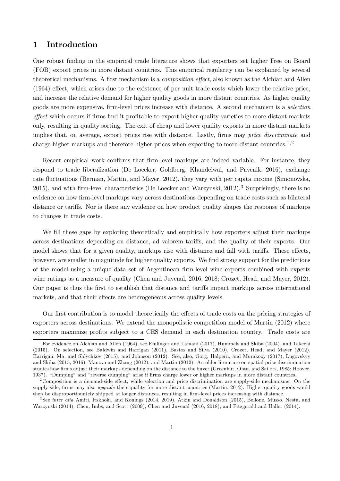# 1 Introduction

One robust finding in the empirical trade literature shows that exporters set higher Free on Board (FOB) export prices in more distant countries. This empirical regularity can be explained by several theoretical mechanisms. A first mechanism is a *composition effect*, also known as the Alchian and Allen (1964) effect, which arises due to the existence of per unit trade costs which lower the relative price, and increase the relative demand for higher quality goods in more distant countries. As higher quality goods are more expensive, firm-level prices increase with distance. A second mechanism is a *selection effect* which occurs if firms find it profitable to export higher quality varieties to more distant markets only, resulting in quality sorting. The exit of cheap and lower quality exports in more distant markets implies that, on average, export prices rise with distance. Lastly, firms may *price discriminate* and charge higher markups and therefore higher prices when exporting to more distant countries.<sup>1,2</sup>

Recent empirical work confirms that firm-level markups are indeed variable. For instance, they respond to trade liberalization (De Loecker, Goldberg, Khandelwal, and Pavcnik, 2016), exchange rate fluctuations (Berman, Martin, and Mayer, 2012), they vary with per capita income (Simonovska, 2015), and with firm-level characteristics (De Loecker and Warzynski,  $2012$ ).<sup>3</sup> Surprisingly, there is no evidence on how firm-level markups vary across destinations depending on trade costs such as bilateral distance or tariffs. Nor is there any evidence on how product quality shapes the response of markups to changes in trade costs.

We fill these gaps by exploring theoretically and empirically how exporters adjust their markups across destinations depending on distance, ad valorem tariffs, and the quality of their exports. Our model shows that for a given quality, markups rise with distance and fall with tariffs. These effects, however, are smaller in magnitude for higher quality exports. We find strong support for the predictions of the model using a unique data set of Argentinean firm-level wine exports combined with experts wine ratings as a measure of quality (Chen and Juvenal, 2016, 2018; Crozet, Head, and Mayer, 2012). Our paper is thus the first to establish that distance and tariffs impact markups across international markets, and that their effects are heterogeneous across quality levels.

Our first contribution is to model theoretically the effects of trade costs on the pricing strategies of exporters across destinations. We extend the monopolistic competition model of Martin (2012) where exporters maximize profits subject to a CES demand in each destination country. Trade costs are

3 See *inter alia* Amiti, Itskhoki, and Konings (2014, 2019), Atkin and Donaldson (2015), Bellone, Musso, Nesta, and Warzynski (2014), Chen, Imbs, and Scott (2009), Chen and Juvenal (2016, 2018), and Fitzgerald and Haller (2014).

<sup>&</sup>lt;sup>1</sup>For evidence on Alchian and Allen (1964), see Emlinger and Lamani (2017), Hummels and Skiba (2004), and Takechi (2015). On selection, see Baldwin and Harrigan (2011), Bastos and Silva (2010), Crozet, Head, and Mayer (2012), Harrigan, Ma, and Shlychkov (2015), and Johnson (2012). See, also, Görg, Halpern, and Muraközy (2017), Lugovskyy and Skiba (2015, 2016), Manova and Zhang (2012), and Martin (2012). An older literature on spatial price discrimination studies how firms adjust their markups depending on the distance to the buyer (Greenhut, Ohta, and Sailors, 1985; Hoover, 1937). "Dumping" and "reverse dumping" arise if firms charge lower or higher markups in more distant countries.

 $2^2$ Composition is a demand-side effect, while selection and price discrimination are supply-side mechanisms. On the supply side, firms may also *upgrade* their quality for more distant countries (Martin, 2012). Higher quality goods would then be disproportionately shipped at longer distances, resulting in firm-level prices increasing with distance.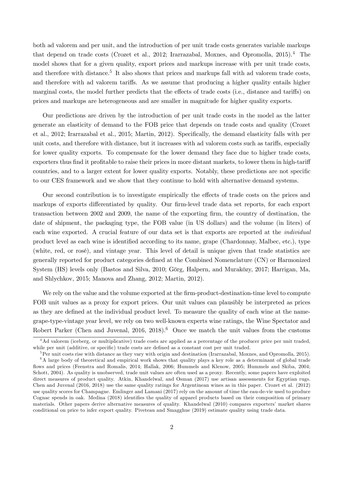both ad valorem and per unit, and the introduction of per unit trade costs generates variable markups that depend on trade costs (Crozet et al., 2012; Irarrazabal, Moxnes, and Opromolla, 2015).<sup>4</sup> The model shows that for a given quality, export prices and markups increase with per unit trade costs, and therefore with distance.<sup>5</sup> It also shows that prices and markups fall with ad valorem trade costs, and therefore with ad valorem tariffs. As we assume that producing a higher quality entails higher marginal costs, the model further predicts that the effects of trade costs (i.e., distance and tariffs) on prices and markups are heterogeneous and are smaller in magnitude for higher quality exports.

Our predictions are driven by the introduction of per unit trade costs in the model as the latter generate an elasticity of demand to the FOB price that depends on trade costs and quality (Crozet et al., 2012; Irarrazabal et al., 2015; Martin, 2012). Specifically, the demand elasticity falls with per unit costs, and therefore with distance, but it increases with ad valorem costs such as tariffs, especially for lower quality exports. To compensate for the lower demand they face due to higher trade costs, exporters thus find it profitable to raise their prices in more distant markets, to lower them in high-tariff countries, and to a larger extent for lower quality exports. Notably, these predictions are not specific to our CES framework and we show that they continue to hold with alternative demand systems.

Our second contribution is to investigate empirically the effects of trade costs on the prices and markups of exports differentiated by quality. Our firm-level trade data set reports, for each export transaction between 2002 and 2009, the name of the exporting firm, the country of destination, the date of shipment, the packaging type, the FOB value (in US dollars) and the volume (in liters) of each wine exported. A crucial feature of our data set is that exports are reported at the *individual* product level as each wine is identified according to its name, grape (Chardonnay, Malbec, etc.), type (white, red, or rosé), and vintage year. This level of detail is unique given that trade statistics are generally reported for product categories defined at the Combined Nomenclature (CN) or Harmonized System (HS) levels only (Bastos and Silva, 2010; Görg, Halpern, and Muraközy, 2017; Harrigan, Ma, and Shlychkov, 2015; Manova and Zhang, 2012; Martin, 2012).

We rely on the value and the volume exported at the firm-product-destination-time level to compute FOB unit values as a proxy for export prices. Our unit values can plausibly be interpreted as prices as they are defined at the individual product level. To measure the quality of each wine at the namegrape-type-vintage year level, we rely on two well-known experts wine ratings, the Wine Spectator and Robert Parker (Chen and Juvenal,  $2016$ ,  $2018$ ).<sup>6</sup> Once we match the unit values from the customs

<sup>&</sup>lt;sup>4</sup>Ad valorem (iceberg, or multiplicative) trade costs are applied as a percentage of the producer price per unit traded, while per unit (additive, or specific) trade costs are defined as a constant cost per unit traded.

 ${}^{5}$ Per unit costs rise with distance as they vary with origin and destination (Irarrazabal, Moxnes, and Opromolla, 2015).  $6A$  large body of theoretical and empirical work shows that quality plays a key role as a determinant of global trade ‡ows and prices (Feenstra and Romalis, 2014; Hallak, 2006; Hummels and Klenow, 2005; Hummels and Skiba, 2004; Schott, 2004). As quality is unobserved, trade unit values are often used as a proxy. Recently, some papers have exploited direct measures of product quality. Atkin, Khandelwal, and Osman (2017) use artisan assessments for Egyptian rugs. Chen and Juvenal (2016, 2018) use the same quality ratings for Argentinean wines as in this paper. Crozet et al. (2012) use quality scores for Champagne. Emlinger and Lamani (2017) rely on the amount of time the eau-de-vie used to produce Cognac spends in oak. Medina (2018) identifies the quality of apparel products based on their composition of primary materials. Other papers derive alternative measures of quality. Khandelwal (2010) compares exporters' market shares conditional on price to infer export quality. Piveteau and Smagghue (2019) estimate quality using trade data.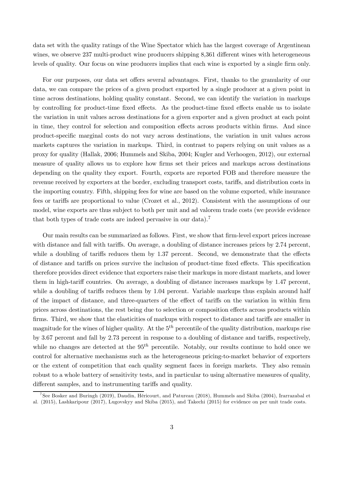data set with the quality ratings of the Wine Spectator which has the largest coverage of Argentinean wines, we observe 237 multi-product wine producers shipping 8,361 different wines with heterogeneous levels of quality. Our focus on wine producers implies that each wine is exported by a single firm only.

For our purposes, our data set offers several advantages. First, thanks to the granularity of our data, we can compare the prices of a given product exported by a single producer at a given point in time across destinations, holding quality constant. Second, we can identify the variation in markups by controlling for product-time fixed effects. As the product-time fixed effects enable us to isolate the variation in unit values across destinations for a given exporter and a given product at each point in time, they control for selection and composition effects across products within firms. And since product-specific marginal costs do not vary across destinations, the variation in unit values across markets captures the variation in markups. Third, in contrast to papers relying on unit values as a proxy for quality (Hallak, 2006; Hummels and Skiba, 2004; Kugler and Verhoogen, 2012), our external measure of quality allows us to explore how firms set their prices and markups across destinations depending on the quality they export. Fourth, exports are reported FOB and therefore measure the revenue received by exporters at the border, excluding transport costs, tariffs, and distribution costs in the importing country. Fifth, shipping fees for wine are based on the volume exported, while insurance fees or tariffs are proportional to value (Crozet et al., 2012). Consistent with the assumptions of our model, wine exports are thus subject to both per unit and ad valorem trade costs (we provide evidence that both types of trade costs are indeed pervasive in our data).<sup>7</sup>

Our main results can be summarized as follows. First, we show that firm-level export prices increase with distance and fall with tariffs. On average, a doubling of distance increases prices by  $2.74$  percent, while a doubling of tariffs reduces them by  $1.37$  percent. Second, we demonstrate that the effects of distance and tariffs on prices survive the inclusion of product-time fixed effects. This specification therefore provides direct evidence that exporters raise their markups in more distant markets, and lower them in high-tariff countries. On average, a doubling of distance increases markups by 1.47 percent, while a doubling of tariffs reduces them by  $1.04$  percent. Variable markups thus explain around half of the impact of distance, and three-quarters of the effect of tariffs on the variation in within firm prices across destinations, the rest being due to selection or composition effects across products within firms. Third, we show that the elasticities of markups with respect to distance and tariffs are smaller in magnitude for the wines of higher quality. At the  $5^{th}$  percentile of the quality distribution, markups rise by  $3.67$  percent and fall by  $2.73$  percent in response to a doubling of distance and tariffs, respectively, while no changes are detected at the  $95<sup>th</sup>$  percentile. Notably, our results continue to hold once we control for alternative mechanisms such as the heterogeneous pricing-to-market behavior of exporters or the extent of competition that each quality segment faces in foreign markets. They also remain robust to a whole battery of sensitivity tests, and in particular to using alternative measures of quality, different samples, and to instrumenting tariffs and quality.

<sup>&</sup>lt;sup>7</sup>See Bosker and Buringh (2019), Daudin, Héricourt, and Patureau (2018), Hummels and Skiba (2004), Irarrazabal et al. (2015), Lashkaripour (2017), Lugovskyy and Skiba (2015), and Takechi (2015) for evidence on per unit trade costs.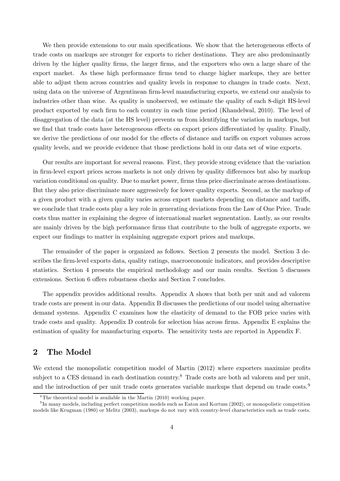We then provide extensions to our main specifications. We show that the heterogeneous effects of trade costs on markups are stronger for exports to richer destinations. They are also predominantly driven by the higher quality firms, the larger firms, and the exporters who own a large share of the export market. As these high performance firms tend to charge higher markups, they are better able to adjust them across countries and quality levels in response to changes in trade costs. Next, using data on the universe of Argentinean firm-level manufacturing exports, we extend our analysis to industries other than wine. As quality is unobserved, we estimate the quality of each 8-digit HS-level product exported by each firm to each country in each time period (Khandelwal, 2010). The level of disaggregation of the data (at the HS level) prevents us from identifying the variation in markups, but we find that trade costs have heterogeneous effects on export prices differentiated by quality. Finally, we derive the predictions of our model for the effects of distance and tariffs on export volumes across quality levels, and we provide evidence that those predictions hold in our data set of wine exports.

Our results are important for several reasons. First, they provide strong evidence that the variation in firm-level export prices across markets is not only driven by quality differences but also by markup variation conditional on quality. Due to market power, firms thus price discriminate across destinations. But they also price discriminate more aggressively for lower quality exports. Second, as the markup of a given product with a given quality varies across export markets depending on distance and tariffs, we conclude that trade costs play a key role in generating deviations from the Law of One Price. Trade costs thus matter in explaining the degree of international market segmentation. Lastly, as our results are mainly driven by the high performance firms that contribute to the bulk of aggregate exports, we expect our findings to matter in explaining aggregate export prices and markups.

The remainder of the paper is organized as follows. Section 2 presents the model. Section 3 describes the firm-level exports data, quality ratings, macroeconomic indicators, and provides descriptive statistics. Section 4 presents the empirical methodology and our main results. Section 5 discusses extensions. Section 6 offers robustness checks and Section 7 concludes.

The appendix provides additional results. Appendix A shows that both per unit and ad valorem trade costs are present in our data. Appendix B discusses the predictions of our model using alternative demand systems. Appendix C examines how the elasticity of demand to the FOB price varies with trade costs and quality. Appendix D controls for selection bias across firms. Appendix E explains the estimation of quality for manufacturing exports. The sensitivity tests are reported in Appendix F.

# 2 The Model

We extend the monopolistic competition model of Martin  $(2012)$  where exporters maximize profits subject to a CES demand in each destination country.<sup>8</sup> Trade costs are both ad valorem and per unit, and the introduction of per unit trade costs generates variable markups that depend on trade costs.<sup>9</sup>

<sup>&</sup>lt;sup>8</sup>The theoretical model is available in the Martin  $(2010)$  working paper.

 $^{9}$ In many models, including perfect competition models such as Eaton and Kortum (2002), or monopolistic competition models like Krugman (1980) or Melitz (2003), markups do not vary with country-level characteristics such as trade costs.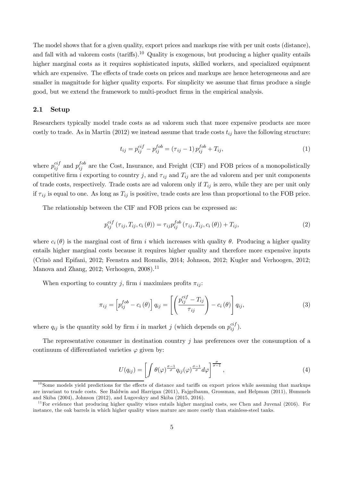The model shows that for a given quality, export prices and markups rise with per unit costs (distance), and fall with ad valorem costs (tariffs).<sup>10</sup> Quality is exogenous, but producing a higher quality entails higher marginal costs as it requires sophisticated inputs, skilled workers, and specialized equipment which are expensive. The effects of trade costs on prices and markups are hence heterogeneous and are smaller in magnitude for higher quality exports. For simplicity we assume that firms produce a single good, but we extend the framework to multi-product firms in the empirical analysis.

## 2.1 Setup

Researchers typically model trade costs as ad valorem such that more expensive products are more costly to trade. As in Martin (2012) we instead assume that trade costs  $t_{ij}$  have the following structure:

$$
t_{ij} = p_{ij}^{cif} - p_{ij}^{fob} = (\tau_{ij} - 1) p_{ij}^{fob} + T_{ij}, \qquad (1)
$$

where  $p_{ij}^{cif}$  $_{ij}^{cif}$  and  $p_{ij}^{fob}$  $I_{ij}^{oo}$  are the Cost, Insurance, and Freight (CIF) and FOB prices of a monopolistically competitive firm *i* exporting to country *j*, and  $\tau_{ij}$  and  $T_{ij}$  are the ad valorem and per unit components of trade costs, respectively. Trade costs are ad valorem only if  $T_{ij}$  is zero, while they are per unit only if  $\tau_{ij}$  is equal to one. As long as  $T_{ij}$  is positive, trade costs are less than proportional to the FOB price.

The relationship between the CIF and FOB prices can be expressed as:

$$
p_{ij}^{cif}(\tau_{ij}, T_{ij}, c_i(\theta)) = \tau_{ij} p_{ij}^{fob}(\tau_{ij}, T_{ij}, c_i(\theta)) + T_{ij},
$$
\n(2)

where  $c_i(\theta)$  is the marginal cost of firm *i* which increases with quality  $\theta$ . Producing a higher quality entails higher marginal costs because it requires higher quality and therefore more expensive inputs (Crinò and Epifani, 2012; Feenstra and Romalis, 2014; Johnson, 2012; Kugler and Verhoogen, 2012; Manova and Zhang, 2012; Verhoogen,  $2008$ ).<sup>11</sup>

When exporting to country j, firm i maximizes profits  $\pi_{ij}$ :

$$
\pi_{ij} = \left[ p_{ij}^{fob} - c_i \left( \theta \right) \right] q_{ij} = \left[ \left( \frac{p_{ij}^{cf} - T_{ij}}{\tau_{ij}} \right) - c_i \left( \theta \right) \right] q_{ij}, \tag{3}
$$

where  $q_{ij}$  is the quantity sold by firm *i* in market *j* (which depends on  $p_{ij}^{cif}$  $_{ij}^{cij}).$ 

The representative consumer in destination country  $\dot{\gamma}$  has preferences over the consumption of a continuum of differentiated varieties  $\varphi$  given by:

$$
U(q_{ij}) = \left[ \int \theta(\varphi) \frac{\sigma - 1}{\sigma} q_{ij}(\varphi) \frac{\sigma - 1}{\sigma} d\varphi \right] \frac{\sigma}{\sigma - 1}, \qquad (4)
$$

 $10$  Some models yield predictions for the effects of distance and tariffs on export prices while assuming that markups are invariant to trade costs. See Baldwin and Harrigan (2011), Fajgelbaum, Grossman, and Helpman (2011), Hummels and Skiba (2004), Johnson (2012), and Lugovskyy and Skiba (2015, 2016).

 $11$  For evidence that producing higher quality wines entails higher marginal costs, see Chen and Juvenal (2016). For instance, the oak barrels in which higher quality wines mature are more costly than stainless-steel tanks.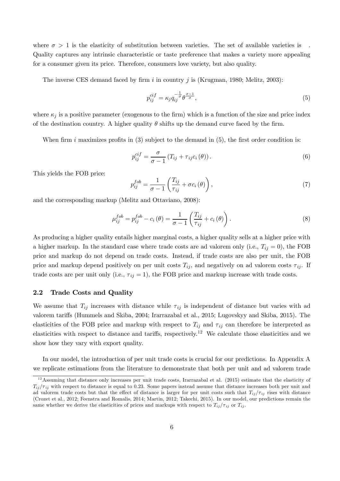where  $\sigma > 1$  is the elasticity of substitution between varieties. The set of available varieties is Quality captures any intrinsic characteristic or taste preference that makes a variety more appealing for a consumer given its price. Therefore, consumers love variety, but also quality.

The inverse CES demand faced by firm  $i$  in country  $j$  is (Krugman, 1980; Melitz, 2003):

$$
p_{ij}^{ci f} = \kappa_j q_{ij}^{-\frac{1}{\sigma}} \theta^{\frac{\sigma - 1}{\sigma}},\tag{5}
$$

where  $\kappa_i$  is a positive parameter (exogenous to the firm) which is a function of the size and price index of the destination country. A higher quality  $\theta$  shifts up the demand curve faced by the firm.

When firm *i* maximizes profits in  $(3)$  subject to the demand in  $(5)$ , the first order condition is:

$$
p_{ij}^{cif} = \frac{\sigma}{\sigma - 1} \left( T_{ij} + \tau_{ij} c_i \left( \theta \right) \right). \tag{6}
$$

This yields the FOB price:

$$
p_{ij}^{fob} = \frac{1}{\sigma - 1} \left( \frac{T_{ij}}{\tau_{ij}} + \sigma c_i \left( \theta \right) \right), \tag{7}
$$

and the corresponding markup (Melitz and Ottaviano, 2008):

$$
\mu_{ij}^{fob} = p_{ij}^{fob} - c_i(\theta) = \frac{1}{\sigma - 1} \left( \frac{T_{ij}}{\tau_{ij}} + c_i(\theta) \right). \tag{8}
$$

As producing a higher quality entails higher marginal costs, a higher quality sells at a higher price with a higher markup. In the standard case where trade costs are ad valorem only (i.e.,  $T_{ij} = 0$ ), the FOB price and markup do not depend on trade costs. Instead, if trade costs are also per unit, the FOB price and markup depend positively on per unit costs  $T_{ij}$ , and negatively on ad valorem costs  $\tau_{ij}$ . If trade costs are per unit only (i.e.,  $\tau_{ij} = 1$ ), the FOB price and markup increase with trade costs.

#### 2.2 Trade Costs and Quality

We assume that  $T_{ij}$  increases with distance while  $\tau_{ij}$  is independent of distance but varies with ad valorem tariffs (Hummels and Skiba, 2004; Irarrazabal et al., 2015; Lugovskyy and Skiba, 2015). The elasticities of the FOB price and markup with respect to  $T_{ij}$  and  $\tau_{ij}$  can therefore be interpreted as elasticities with respect to distance and tariffs, respectively.<sup>12</sup> We calculate those elasticities and we show how they vary with export quality.

In our model, the introduction of per unit trade costs is crucial for our predictions. In Appendix A we replicate estimations from the literature to demonstrate that both per unit and ad valorem trade

 $12$ Assuming that distance only increases per unit trade costs, Irarrazabal et al. (2015) estimate that the elasticity of  $T_{ii}/\tau_{ii}$  with respect to distance is equal to 0.23. Some papers instead assume that distance increases both per unit and ad valorem trade costs but that the effect of distance is larger for per unit costs such that  $T_{ij}/\tau_{ij}$  rises with distance (Crozet et al., 2012; Feenstra and Romalis, 2014; Martin, 2012; Takechi, 2015). In our model, our predictions remain the same whether we derive the elasticities of prices and markups with respect to  $T_{ij}/\tau_{ij}$  or  $T_{ij}$ .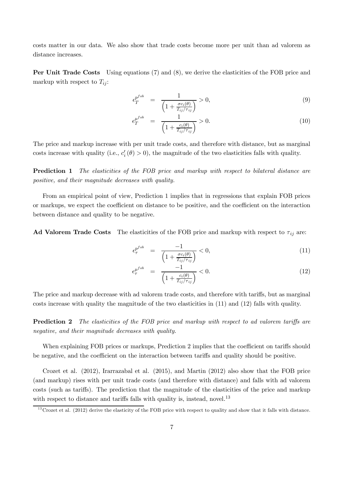costs matter in our data. We also show that trade costs become more per unit than ad valorem as distance increases.

Per Unit Trade Costs Using equations (7) and (8), we derive the elasticities of the FOB price and markup with respect to  $T_{ii}$ :

$$
\epsilon_T^{p^{fob}} = \frac{1}{\left(1 + \frac{\sigma c_i(\theta)}{T_{ij}/\tau_{ij}}\right)} > 0,\tag{9}
$$

$$
\epsilon_T^{\mu^{fob}} = \frac{1}{\left(1 + \frac{c_i(\theta)}{T_{ij}/\tau_{ij}}\right)} > 0. \tag{10}
$$

The price and markup increase with per unit trade costs, and therefore with distance, but as marginal costs increase with quality (i.e.,  $c_i'(\theta) > 0$ ), the magnitude of the two elasticities falls with quality.

Prediction 1 *The elasticities of the FOB price and markup with respect to bilateral distance are positive, and their magnitude decreases with quality.*

From an empirical point of view, Prediction 1 implies that in regressions that explain FOB prices or markups, we expect the coefficient on distance to be positive, and the coefficient on the interaction between distance and quality to be negative.

Ad Valorem Trade Costs The elasticities of the FOB price and markup with respect to  $\tau_{ij}$  are:

$$
\epsilon_{\tau}^{p^{fob}} = \frac{-1}{\left(1 + \frac{\sigma c_i(\theta)}{T_{ij}/\tau_{ij}}\right)} < 0,\tag{11}
$$

$$
\epsilon_{\tau}^{\mu^{fob}} = \frac{-1}{\left(1 + \frac{c_i(\theta)}{T_{ij}/\tau_{ij}}\right)} < 0. \tag{12}
$$

The price and markup decrease with ad valorem trade costs, and therefore with tariffs, but as marginal costs increase with quality the magnitude of the two elasticities in (11) and (12) falls with quality.

**Prediction 2** The elasticities of the FOB price and markup with respect to ad valorem tariffs are *negative, and their magnitude decreases with quality.*

When explaining FOB prices or markups, Prediction 2 implies that the coefficient on tariffs should be negative, and the coefficient on the interaction between tariffs and quality should be positive.

Crozet et al. (2012), Irarrazabal et al. (2015), and Martin (2012) also show that the FOB price (and markup) rises with per unit trade costs (and therefore with distance) and falls with ad valorem costs (such as tariffs). The prediction that the magnitude of the elasticities of the price and markup with respect to distance and tariffs falls with quality is, instead, novel.<sup>13</sup>

 $^{13}$ Crozet et al. (2012) derive the elasticity of the FOB price with respect to quality and show that it falls with distance.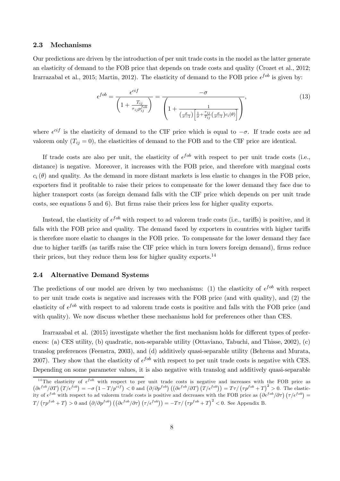#### 2.3 Mechanisms

Our predictions are driven by the introduction of per unit trade costs in the model as the latter generate an elasticity of demand to the FOB price that depends on trade costs and quality (Crozet et al., 2012; Irarrazabal et al., 2015; Martin, 2012). The elasticity of demand to the FOB price  $\epsilon^{fob}$  is given by:

$$
\epsilon^{fob} = \frac{\epsilon^{cif}}{\left(1 + \frac{T_{ij}}{\tau_{ij}p_{ij}^{fob}}\right)} = \frac{-\sigma}{\left(1 + \frac{1}{\left(\frac{\sigma}{\sigma-1}\right)\left[\frac{1}{\sigma} + \frac{\tau_{ij}}{T_{ij}}\left(\frac{\sigma}{\sigma-1}\right)c_i(\theta)\right]}\right)},\tag{13}
$$

where  $\epsilon^{ci}$  is the elasticity of demand to the CIF price which is equal to  $-\sigma$ . If trade costs are ad valorem only  $(T_{ii} = 0)$ , the elasticities of demand to the FOB and to the CIF price are identical.

If trade costs are also per unit, the elasticity of  $\epsilon^{fob}$  with respect to per unit trade costs (i.e., distance) is negative. Moreover, it increases with the FOB price, and therefore with marginal costs  $c_i(\theta)$  and quality. As the demand in more distant markets is less elastic to changes in the FOB price, exporters find it profitable to raise their prices to compensate for the lower demand they face due to higher transport costs (as foreign demand falls with the CIF price which depends on per unit trade  $costs$ , see equations 5 and 6). But firms raise their prices less for higher quality exports.

Instead, the elasticity of  $\epsilon^{fob}$  with respect to ad valorem trade costs (i.e., tariffs) is positive, and it falls with the FOB price and quality. The demand faced by exporters in countries with higher tariffs is therefore more elastic to changes in the FOB price. To compensate for the lower demand they face due to higher tariffs (as tariffs raise the CIF price which in turn lowers foreign demand), firms reduce their prices, but they reduce them less for higher quality exports.<sup>14</sup>

#### 2.4 Alternative Demand Systems

The predictions of our model are driven by two mechanisms: (1) the elasticity of  $\epsilon^{fob}$  with respect to per unit trade costs is negative and increases with the FOB price (and with quality), and (2) the elasticity of  $\epsilon^{fob}$  with respect to ad valorem trade costs is positive and falls with the FOB price (and with quality). We now discuss whether these mechanisms hold for preferences other than CES.

Irarrazabal et al. (2015) investigate whether the first mechanism holds for different types of preferences: (a) CES utility, (b) quadratic, non-separable utility (Ottaviano, Tabuchi, and Thisse, 2002), (c) translog preferences (Feenstra, 2003), and (d) additively quasi-separable utility (Behrens and Murata, 2007). They show that the elasticity of  $\epsilon^{fob}$  with respect to per unit trade costs is negative with CES. Depending on some parameter values, it is also negative with translog and additively quasi-separable

<sup>&</sup>lt;sup>14</sup>The elasticity of  $\epsilon^{fob}$  with respect to per unit trade costs is negative and increases with the FOB price as  $\left(\frac{\partial \epsilon^{f\circ b}}{\partial T}\right)(T/\epsilon^{f\circ b}) = -\sigma\left(1 - T/p^{cif}\right) < 0$  and  $\left(\frac{\partial}{\partial p^{f\circ b}}\right)\left(\left(\frac{\partial \epsilon^{f\circ b}}{\partial T}\right)(T/\epsilon^{f\circ b})\right) = T\tau/\left(\tau p^{f\circ b} + T\right)^2 > 0$ . The elasticity of  $\epsilon^{fob}$  with respect to ad valorem trade costs is positive and decreases with the FOB price as  $(\partial \epsilon^{fob}/\partial \tau) (\tau/\epsilon^{fob}) =$  $T/\left(\tau p^{fob} + T\right) > 0$  and  $\left(\partial/\partial p^{fob}\right) \left(\left(\partial \epsilon^{fob}/\partial \tau\right) \left(\tau/\epsilon^{fob}\right)\right) = -T\tau/\left(\tau p^{fob} + T\right)^2 < 0$ . See Appendix B.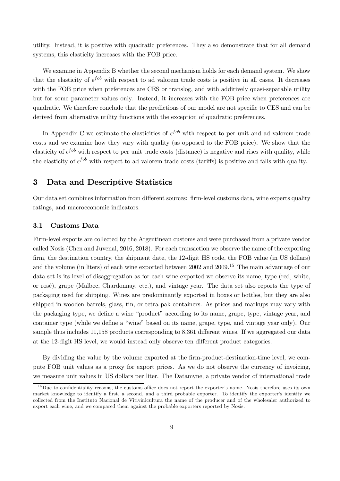utility. Instead, it is positive with quadratic preferences. They also demonstrate that for all demand systems, this elasticity increases with the FOB price.

We examine in Appendix B whether the second mechanism holds for each demand system. We show that the elasticity of  $\epsilon^{fob}$  with respect to ad valorem trade costs is positive in all cases. It decreases with the FOB price when preferences are CES or translog, and with additively quasi-separable utility but for some parameter values only. Instead, it increases with the FOB price when preferences are quadratic. We therefore conclude that the predictions of our model are not specific to CES and can be derived from alternative utility functions with the exception of quadratic preferences.

In Appendix C we estimate the elasticities of  $\epsilon^{fob}$  with respect to per unit and ad valorem trade costs and we examine how they vary with quality (as opposed to the FOB price). We show that the elasticity of  $\epsilon^{job}$  with respect to per unit trade costs (distance) is negative and rises with quality, while the elasticity of  $\epsilon^{fob}$  with respect to ad valorem trade costs (tariffs) is positive and falls with quality.

## 3 Data and Descriptive Statistics

Our data set combines information from different sources: firm-level customs data, wine experts quality ratings, and macroeconomic indicators.

#### 3.1 Customs Data

Firm-level exports are collected by the Argentinean customs and were purchased from a private vendor called Nosis (Chen and Juvenal, 2016, 2018). For each transaction we observe the name of the exporting firm, the destination country, the shipment date, the 12-digit HS code, the FOB value (in US dollars) and the volume (in liters) of each wine exported between 2002 and 2009.<sup>15</sup> The main advantage of our data set is its level of disaggregation as for each wine exported we observe its name, type (red, white, or rosé), grape (Malbec, Chardonnay, etc.), and vintage year. The data set also reports the type of packaging used for shipping. Wines are predominantly exported in boxes or bottles, but they are also shipped in wooden barrels, glass, tin, or tetra pak containers. As prices and markups may vary with the packaging type, we define a wine "product" according to its name, grape, type, vintage year, and container type (while we define a "wine" based on its name, grape, type, and vintage year only). Our sample thus includes 11,158 products corresponding to 8,361 different wines. If we aggregated our data at the 12-digit HS level, we would instead only observe ten different product categories.

By dividing the value by the volume exported at the firm-product-destination-time level, we compute FOB unit values as a proxy for export prices. As we do not observe the currency of invoicing, we measure unit values in US dollars per liter. The Datamyne, a private vendor of international trade

 $15$ Due to confidentiality reasons, the customs office does not report the exporter's name. Nosis therefore uses its own market knowledge to identify a first, a second, and a third probable exporter. To identify the exporter's identity we collected from the Instituto Nacional de Vitivinicultura the name of the producer and of the wholesaler authorized to export each wine, and we compared them against the probable exporters reported by Nosis.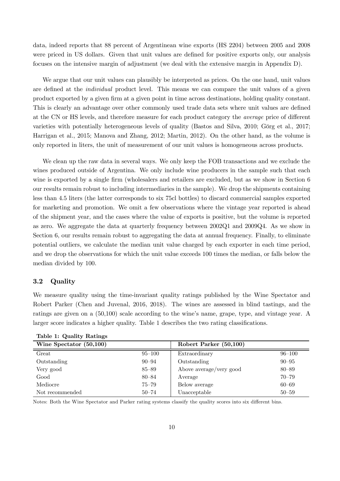data, indeed reports that 88 percent of Argentinean wine exports (HS 2204) between 2005 and 2008 were priced in US dollars. Given that unit values are defined for positive exports only, our analysis focuses on the intensive margin of adjustment (we deal with the extensive margin in Appendix D).

We argue that our unit values can plausibly be interpreted as prices. On the one hand, unit values are defined at the *individual* product level. This means we can compare the unit values of a given product exported by a given firm at a given point in time across destinations, holding quality constant. This is clearly an advantage over other commonly used trade data sets where unit values are defined at the CN or HS levels, and therefore measure for each product category the *average* price of different varieties with potentially heterogeneous levels of quality (Bastos and Silva, 2010; Görg et al., 2017; Harrigan et al., 2015; Manova and Zhang, 2012; Martin, 2012). On the other hand, as the volume is only reported in liters, the unit of measurement of our unit values is homogeneous across products.

We clean up the raw data in several ways. We only keep the FOB transactions and we exclude the wines produced outside of Argentina. We only include wine producers in the sample such that each wine is exported by a single firm (wholesalers and retailers are excluded, but as we show in Section 6 our results remain robust to including intermediaries in the sample). We drop the shipments containing less than 4.5 liters (the latter corresponds to six 75cl bottles) to discard commercial samples exported for marketing and promotion. We omit a few observations where the vintage year reported is ahead of the shipment year, and the cases where the value of exports is positive, but the volume is reported as zero. We aggregate the data at quarterly frequency between 2002Q1 and 2009Q4. As we show in Section 6, our results remain robust to aggregating the data at annual frequency. Finally, to eliminate potential outliers, we calculate the median unit value charged by each exporter in each time period, and we drop the observations for which the unit value exceeds 100 times the median, or falls below the median divided by 100.

#### 3.2 Quality

We measure quality using the time-invariant quality ratings published by the Wine Spectator and Robert Parker (Chen and Juvenal, 2016, 2018). The wines are assessed in blind tastings, and the ratings are given on a (50,100) scale according to the wine's name, grape, type, and vintage year. A larger score indicates a higher quality. Table 1 describes the two rating classifications.

| rable i: Quality Ratings  |            |                         |            |
|---------------------------|------------|-------------------------|------------|
| Wine Spectator $(50,100)$ |            | Robert Parker (50,100)  |            |
| Great                     | $95 - 100$ | Extraordinary           | $96 - 100$ |
| Outstanding               | $90 - 94$  | Outstanding             | $90 - 95$  |
| Very good                 | $85 - 89$  | Above average/very good | $80 - 89$  |
| Good                      | $80 - 84$  | Average                 | $70 - 79$  |
| Mediocre                  | $75 - 79$  | Below average           | $60 - 69$  |
| Not recommended           | $50 - 74$  | Unacceptable            | $50 - 59$  |

Table 1: Quality Ratings

Notes: Both the Wine Spectator and Parker rating systems classify the quality scores into six different bins.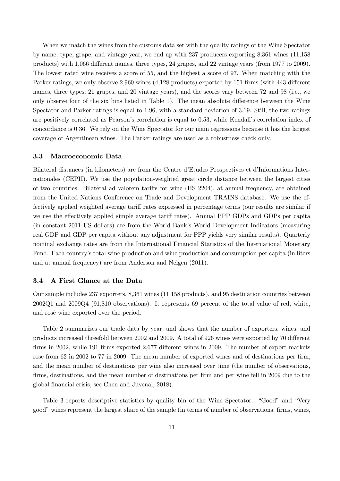When we match the wines from the customs data set with the quality ratings of the Wine Spectator by name, type, grape, and vintage year, we end up with 237 producers exporting 8,361 wines (11,158 products) with 1,066 different names, three types, 24 grapes, and 22 vintage years (from 1977 to 2009). The lowest rated wine receives a score of 55, and the highest a score of 97. When matching with the Parker ratings, we only observe 2,960 wines (4,128 products) exported by 151 firms (with 443 different names, three types, 21 grapes, and 20 vintage years), and the scores vary between 72 and 98 (i.e., we only observe four of the six bins listed in Table 1). The mean absolute difference between the Wine Spectator and Parker ratings is equal to 1.96, with a standard deviation of 3.19. Still, the two ratings are positively correlated as Pearson's correlation is equal to 0.53, while Kendall's correlation index of concordance is 0.36. We rely on the Wine Spectator for our main regressions because it has the largest coverage of Argentinean wines. The Parker ratings are used as a robustness check only.

#### 3.3 Macroeconomic Data

Bilateral distances (in kilometers) are from the Centre d'Etudes Prospectives et d'Informations Internationales (CEPII). We use the population-weighted great circle distance between the largest cities of two countries. Bilateral ad valorem tariffs for wine (HS 2204), at annual frequency, are obtained from the United Nations Conference on Trade and Development TRAINS database. We use the effectively applied weighted average tariff rates expressed in percentage terms (our results are similar if we use the effectively applied simple average tariff rates). Annual PPP GDPs and GDPs per capita (in constant 2011 US dollars) are from the World Bank's World Development Indicators (measuring real GDP and GDP per capita without any adjustment for PPP yields very similar results). Quarterly nominal exchange rates are from the International Financial Statistics of the International Monetary Fund. Each country's total wine production and wine production and consumption per capita (in liters and at annual frequency) are from Anderson and Nelgen (2011).

#### 3.4 A First Glance at the Data

Our sample includes 237 exporters, 8,361 wines (11,158 products), and 95 destination countries between 2002Q1 and 2009Q4 (91,810 observations). It represents 69 percent of the total value of red, white, and rosé wine exported over the period.

Table 2 summarizes our trade data by year, and shows that the number of exporters, wines, and products increased threefold between 2002 and 2009. A total of 926 wines were exported by 70 different firms in 2002, while 191 firms exported 2,677 different wines in 2009. The number of export markets rose from 62 in 2002 to 77 in 2009. The mean number of exported wines and of destinations per firm, and the mean number of destinations per wine also increased over time (the number of observations, firms, destinations, and the mean number of destinations per firm and per wine fell in 2009 due to the global financial crisis, see Chen and Juvenal, 2018).

Table 3 reports descriptive statistics by quality bin of the Wine Spectator. "Good" and "Very good" wines represent the largest share of the sample (in terms of number of observations, firms, wines,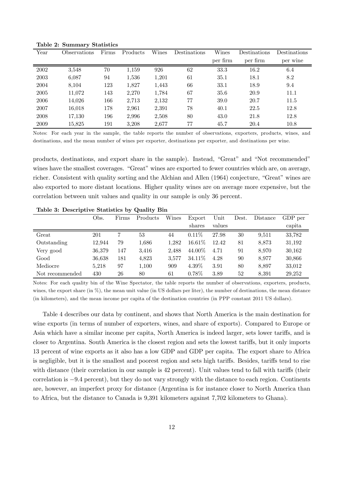| Year | Observations | Firms | <b>Products</b> | Wines | Destinations | Wines    | Destinations | Destinations |
|------|--------------|-------|-----------------|-------|--------------|----------|--------------|--------------|
|      |              |       |                 |       |              | per firm | per firm     | per wine     |
| 2002 | 3,548        | 70    | 1,159           | 926   | 62           | 33.3     | 16.2         | 6.4          |
| 2003 | 6,087        | 94    | 1,536           | 1,201 | 61           | 35.1     | 18.1         | 8.2          |
| 2004 | 8,104        | 123   | 1,827           | 1,443 | 66           | 33.1     | 18.9         | 9.4          |
| 2005 | 11,072       | 143   | 2,270           | 1,784 | 67           | 35.6     | 20.9         | 11.1         |
| 2006 | 14,026       | 166   | 2,713           | 2,132 | 77           | 39.0     | 20.7         | 11.5         |
| 2007 | 16,018       | 178   | 2,961           | 2,391 | 78           | 40.1     | 22.5         | 12.8         |
| 2008 | 17,130       | 196   | 2,996           | 2,508 | 80           | 43.0     | 21.8         | 12.8         |
| 2009 | 15.825       | 191   | 3,208           | 2.677 | 77           | 45.7     | 20.4         | 10.8         |

Table 2: Summary Statistics

Notes: For each year in the sample, the table reports the number of observations, exporters, products, wines, and destinations, and the mean number of wines per exporter, destinations per exporter, and destinations per wine.

products, destinations, and export share in the sample). Instead, "Great" and "Not recommended" wines have the smallest coverages. "Great" wines are exported to fewer countries which are, on average, richer. Consistent with quality sorting and the Alchian and Allen (1964) conjecture, "Great" wines are also exported to more distant locations. Higher quality wines are on average more expensive, but the correlation between unit values and quality in our sample is only 36 percent.

|                       | Obs.   | Firms | Products | Wines | Export   | Unit   | Dest. | Distance | GDP per |
|-----------------------|--------|-------|----------|-------|----------|--------|-------|----------|---------|
|                       |        |       |          |       | shares   | values |       |          | capita  |
| Great                 | 201    |       | 53       | 44    | $0.11\%$ | 27.98  | 30    | 9.511    | 33,782  |
| Outstanding           | 12.944 | 79    | 1,686    | 1.282 | 16.61\%  | 12.42  | 81    | 8,873    | 31,192  |
| Very good             | 36,379 | 147   | 3.416    | 2.488 | 44.00%   | 4.71   | 91    | 8.970    | 30,162  |
| $\operatorname{Good}$ | 36,638 | 181   | 4.823    | 3.577 | 34.11\%  | 4.28   | 90    | 8.977    | 30,866  |
| Mediocre              | 5,218  | 97    | 1.100    | 909   | $4.39\%$ | 3.91   | 80    | 8.897    | 33,012  |
| Not recommended       | 430    | 26    | 80       | 61    | $0.78\%$ | 3.89   | 52    | 8.391    | 29.252  |

Table 3: Descriptive Statistics by Quality Bin

Notes: For each quality bin of the Wine Spectator, the table reports the number of observations, exporters, products, wines, the export share (in  $\%$ ), the mean unit value (in US dollars per liter), the number of destinations, the mean distance (in kilometers), and the mean income per capita of the destination countries (in PPP constant 2011 US dollars).

Table 4 describes our data by continent, and shows that North America is the main destination for wine exports (in terms of number of exporters, wines, and share of exports). Compared to Europe or Asia which have a similar income per capita, North America is indeed larger, sets lower tariffs, and is closer to Argentina. South America is the closest region and sets the lowest tariffs, but it only imports 13 percent of wine exports as it also has a low GDP and GDP per capita. The export share to Africa is negligible, but it is the smallest and poorest region and sets high tariffs. Besides, tariffs tend to rise with distance (their correlation in our sample is 42 percent). Unit values tend to fall with tariffs (their correlation is  $-9.4$  percent), but they do not vary strongly with the distance to each region. Continents are, however, an imperfect proxy for distance (Argentina is for instance closer to North America than to Africa, but the distance to Canada is 9,391 kilometers against 7,702 kilometers to Ghana).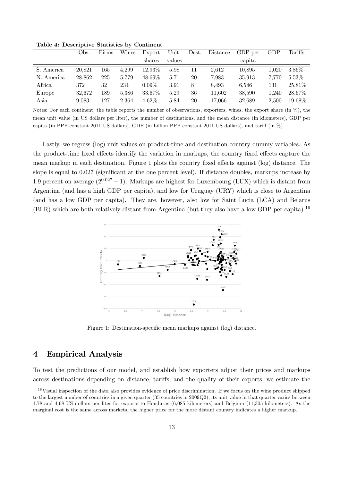|            | Obs.   | Firms | Wines | Export   | Unit   | Dest. | Distance | GDP per | GDP   | Tariffs  |
|------------|--------|-------|-------|----------|--------|-------|----------|---------|-------|----------|
|            |        |       |       | shares   | values |       |          | capita  |       |          |
| S. America | 20.821 | 165   | 4.299 | 12.93\%  | 5.98   | 11    | 2.612    | 10.895  | 1.020 | $3.86\%$ |
| N. America | 28.862 | 225   | 5.779 | 48.69%   | 5.71   | 20    | 7.983    | 35.913  | 7.770 | $5.53\%$ |
| Africa     | 372    | 32    | 234   | $0.09\%$ | 3.91   | 8     | 8.493    | 6.546   | 131   | 25.81\%  |
| Europe     | 32.672 | 189   | 5.386 | 33.67%   | 5.29   | 36    | 11.602   | 38.590  | 1.240 | 28.67\%  |
| Asia       | 9.083  | 127   | 2,364 | $4.62\%$ | 5.84   | 20    | 17.066   | 32,689  | 2.500 | 19.68%   |

Table 4: Descriptive Statistics by Continent

Notes: For each continent, the table reports the number of observations, exporters, wines, the export share (in %), the mean unit value (in US dollars per liter), the number of destinations, and the mean distance (in kilometers), GDP per capita (in PPP constant 2011 US dollars), GDP (in billion PPP constant 2011 US dollars), and tariff (in  $\%$ ).

Lastly, we regress (log) unit values on product-time and destination country dummy variables. As the product-time fixed effects identify the variation in markups, the country fixed effects capture the mean markup in each destination. Figure 1 plots the country fixed effects against (log) distance. The slope is equal to  $0.027$  (significant at the one percent level). If distance doubles, markups increase by 1.9 percent on average  $(2^{0.027} - 1)$ . Markups are highest for Luxembourg (LUX) which is distant from Argentina (and has a high GDP per capita), and low for Uruguay (URY) which is close to Argentina (and has a low GDP per capita). They are, however, also low for Saint Lucia (LCA) and Belarus (BLR) which are both relatively distant from Argentina (but they also have a low GDP per capita).<sup>16</sup>



Figure 1: Destination-specific mean markups against (log) distance.

# 4 Empirical Analysis

To test the predictions of our model, and establish how exporters adjust their prices and markups across destinations depending on distance, tariffs, and the quality of their exports, we estimate the

 $16$ Visual inspection of the data also provides evidence of price discrimination. If we focus on the wine product shipped to the largest number of countries in a given quarter (35 countries in 2009Q2), its unit value in that quarter varies between 1.78 and 4.68 US dollars per liter for exports to Honduras (6,085 kilometers) and Belgium (11,305 kilometers). As the marginal cost is the same across markets, the higher price for the more distant country indicates a higher markup.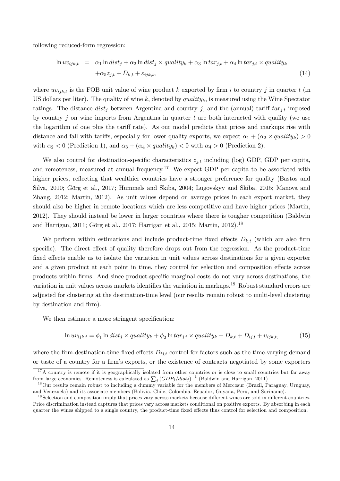following reduced-form regression:

$$
\ln uv_{ijk,t} = \alpha_1 \ln dist_j + \alpha_2 \ln dist_j \times quality_k + \alpha_3 \ln tar_{j,t} + \alpha_4 \ln tar_{j,t} \times quality_k + \alpha_5 z_{j,t} + D_{k,t} + \varepsilon_{ijk,t},
$$
\n(14)

where  $uv_{ijk,t}$  is the FOB unit value of wine product k exported by firm i to country j in quarter t (in US dollars per liter). The quality of wine  $k$ , denoted by  $quality_k$ , is measured using the Wine Spectator ratings. The distance  $dist_j$  between Argentina and country j, and the (annual) tariff  $tar_{j,t}$  imposed by country  $j$  on wine imports from Argentina in quarter  $t$  are both interacted with quality (we use the logarithm of one plus the tariff rate). As our model predicts that prices and markups rise with distance and fall with tariffs, especially for lower quality exports, we expect  $\alpha_1 + (\alpha_2 \times quality_k) > 0$ with  $\alpha_2 < 0$  (Prediction 1), and  $\alpha_3 + (\alpha_4 \times quality_k) < 0$  with  $\alpha_4 > 0$  (Prediction 2).

We also control for destination-specific characteristics  $z_{j,t}$  including (log) GDP, GDP per capita, and remoteness, measured at annual frequency.<sup>17</sup> We expect GDP per capita to be associated with higher prices, reflecting that wealthier countries have a stronger preference for quality (Bastos and Silva, 2010; Görg et al., 2017; Hummels and Skiba, 2004; Lugovskyy and Skiba, 2015; Manova and Zhang, 2012; Martin, 2012). As unit values depend on average prices in each export market, they should also be higher in remote locations which are less competitive and have higher prices (Martin, 2012). They should instead be lower in larger countries where there is tougher competition (Baldwin and Harrigan, 2011; Görg et al., 2017; Harrigan et al., 2015; Martin, 2012).<sup>18</sup>

We perform within estimations and include product-time fixed effects  $D_{k,t}$  (which are also firm specific). The direct effect of quality therefore drops out from the regression. As the product-time fixed effects enable us to isolate the variation in unit values across destinations for a given exporter and a given product at each point in time, they control for selection and composition effects across products within firms. And since product-specific marginal costs do not vary across destinations, the variation in unit values across markets identifies the variation in markups.<sup>19</sup> Robust standard errors are adjusted for clustering at the destination-time level (our results remain robust to multi-level clustering by destination and firm).

We then estimate a more stringent specification:

$$
\ln uv_{ijk,t} = \phi_1 \ln dist_j \times quality_k + \phi_2 \ln tar_{j,t} \times quality_k + D_{k,t} + D_{ij,t} + v_{ijk,t},
$$
\n(15)

where the firm-destination-time fixed effects  $D_{ij,t}$  control for factors such as the time-varying demand or taste of a country for a firm's exports, or the existence of contracts negotiated by some exporters

 $17A$  country is remote if it is geographically isolated from other countries or is close to small countries but far away from large economies. Remoteness is calculated as  $\sum_{j} (GDP_j/dist_j)^{-1}$  (Baldwin and Harrigan, 2011).

<sup>&</sup>lt;sup>18</sup>Our results remain robust to including a dummy variable for the members of Mercosur (Brazil, Paraguay, Uruguay, and Venezuela) and its associate members (Bolivia, Chile, Colombia, Ecuador, Guyana, Peru, and Suriname).

 $19$  Selection and composition imply that prices vary across markets because different wines are sold in different countries. Price discrimination instead captures that prices vary across markets conditional on positive exports. By absorbing in each quarter the wines shipped to a single country, the product-time fixed effects thus control for selection and composition.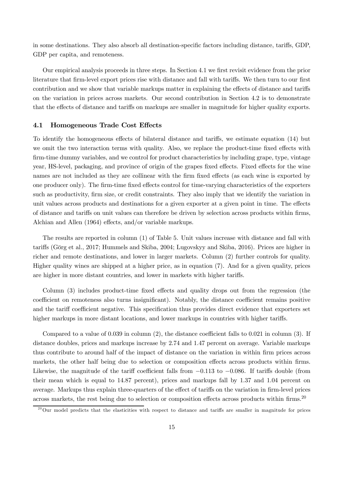in some destinations. They also absorb all destination-specific factors including distance, tariffs, GDP, GDP per capita, and remoteness.

Our empirical analysis proceeds in three steps. In Section 4.1 we first revisit evidence from the prior literature that firm-level export prices rise with distance and fall with tariffs. We then turn to our first contribution and we show that variable markups matter in explaining the effects of distance and tariffs on the variation in prices across markets. Our second contribution in Section 4.2 is to demonstrate that the effects of distance and tariffs on markups are smaller in magnitude for higher quality exports.

#### 4.1 Homogeneous Trade Cost Effects

To identify the homogeneous effects of bilateral distance and tariffs, we estimate equation (14) but we omit the two interaction terms with quality. Also, we replace the product-time fixed effects with firm-time dummy variables, and we control for product characteristics by including grape, type, vintage year, HS-level, packaging, and province of origin of the grapes fixed effects. Fixed effects for the wine names are not included as they are collinear with the firm fixed effects (as each wine is exported by one producer only). The firm-time fixed effects control for time-varying characteristics of the exporters such as productivity, firm size, or credit constraints. They also imply that we identify the variation in unit values across products and destinations for a given exporter at a given point in time. The effects of distance and tariffs on unit values can therefore be driven by selection across products within firms, Alchian and Allen (1964) effects, and/or variable markups.

The results are reported in column (1) of Table 5. Unit values increase with distance and fall with tariffs (Görg et al., 2017; Hummels and Skiba, 2004; Lugovskyy and Skiba, 2016). Prices are higher in richer and remote destinations, and lower in larger markets. Column (2) further controls for quality. Higher quality wines are shipped at a higher price, as in equation (7). And for a given quality, prices are higher in more distant countries, and lower in markets with higher tariffs.

Column (3) includes product-time fixed effects and quality drops out from the regression (the coefficient on remoteness also turns insignificant). Notably, the distance coefficient remains positive and the tariff coefficient negative. This specification thus provides direct evidence that exporters set higher markups in more distant locations, and lower markups in countries with higher tariffs.

Compared to a value of  $0.039$  in column  $(2)$ , the distance coefficient falls to  $0.021$  in column  $(3)$ . If distance doubles, prices and markups increase by 2.74 and 1.47 percent on average. Variable markups thus contribute to around half of the impact of distance on the variation in within firm prices across markets, the other half being due to selection or composition effects across products within firms. Likewise, the magnitude of the tariff coefficient falls from  $-0.113$  to  $-0.086$ . If tariffs double (from their mean which is equal to 14.87 percent), prices and markups fall by 1.37 and 1.04 percent on average. Markups thus explain three-quarters of the effect of tariffs on the variation in firm-level prices across markets, the rest being due to selection or composition effects across products within firms.<sup>20</sup>

 $^{20}$ Our model predicts that the elasticities with respect to distance and tariffs are smaller in magnitude for prices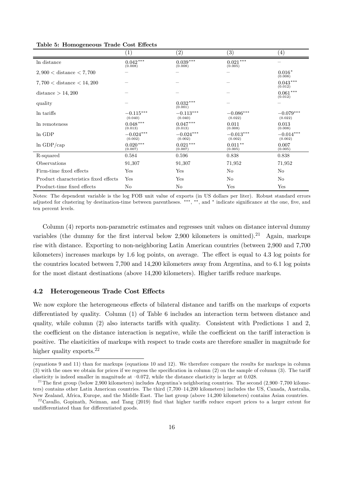|                                       | $\left(1\right)$       | $\left( 2\right)$       | $\left( 3\right)$          | $\left( 4\right)$      |
|---------------------------------------|------------------------|-------------------------|----------------------------|------------------------|
| In distance                           | $0.042***$<br>(0.008)  | $0.039\,***$<br>(0.008) | $0.021^{\,***}$<br>(0.005) |                        |
| $2,900 <$ distance $< 7,700$          |                        |                         |                            | $0.016*$<br>(0.008)    |
| $7,700 <$ distance $< 14,200$         |                        |                         |                            | $0.043***$<br>(0.012)  |
| distance $> 14,200$                   |                        |                         |                            | $0.061***$<br>(0.012)  |
| quality                               |                        | $0.032***$<br>(0.001)   |                            |                        |
| In tariffs                            | $-0.115***$<br>(0.040) | $-0.113***$<br>(0.040)  | $-0.086***$<br>(0.022)     | $-0.079***$<br>(0.022) |
| In remoteness                         | $0.048***$<br>(0.013)  | $0.047***$<br>(0.013)   | 0.011<br>(0.008)           | 0.013<br>(0.008)       |
| ln GDP                                | $-0.024***$<br>(0.002) | $-0.024***$<br>(0.002)  | $-0.013***$<br>(0.002)     | $-0.014***$<br>(0.002) |
| $ln$ GDP/cap                          | $0.020***$<br>(0.007)  | $0.021***$<br>(0.007)   | $0.011***$<br>(0.005)      | 0.007<br>(0.005)       |
| R-squared                             | 0.584                  | 0.596                   | 0.838                      | 0.838                  |
| Observations                          | 91,307                 | 91,307                  | 71,952                     | 71,952                 |
| Firm-time fixed effects               | Yes                    | Yes                     | N <sub>o</sub>             | No                     |
| Product characteristics fixed effects | Yes                    | Yes                     | No                         | No                     |
| Product-time fixed effects            | No                     | No                      | Yes                        | Yes                    |

Table 5: Homogeneous Trade Cost Effects

Notes: The dependent variable is the log FOB unit value of exports (in US dollars per liter). Robust standard errors adjusted for clustering by destination-time between parentheses. \*\*\*, \*\*, and \* indicate significance at the one, five, and ten percent levels.

Column (4) reports non-parametric estimates and regresses unit values on distance interval dummy variables (the dummy for the first interval below 2,900 kilometers is omitted).<sup>21</sup> Again, markups rise with distance. Exporting to non-neighboring Latin American countries (between 2,900 and 7,700 kilometers) increases markups by 1.6 log points, on average. The effect is equal to 4.3 log points for the countries located between 7,700 and 14,200 kilometers away from Argentina, and to 6.1 log points for the most distant destinations (above 14,200 kilometers). Higher tariffs reduce markups.

#### 4.2 Heterogeneous Trade Cost Effects

We now explore the heterogeneous effects of bilateral distance and tariffs on the markups of exports differentiated by quality. Column (1) of Table 6 includes an interaction term between distance and quality, while column  $(2)$  also interacts tariffs with quality. Consistent with Predictions 1 and 2, the coefficient on the distance interaction is negative, while the coefficient on the tariff interaction is positive. The elasticities of markups with respect to trade costs are therefore smaller in magnitude for higher quality exports.<sup>22</sup>

<sup>(</sup>equations 9 and 11) than for markups (equations 10 and 12). We therefore compare the results for markups in column  $(3)$  with the ones we obtain for prices if we regress the specification in column  $(2)$  on the sample of column  $(3)$ . The tariff elasticity is indeed smaller in magnitude at –0.072, while the distance elasticity is larger at 0.028.

<sup>&</sup>lt;sup>21</sup>The first group (below 2,900 kilometers) includes Argentina's neighboring countries. The second  $(2,900-7,700$  kilometers) contains other Latin American countries. The third (7,700–14,200 kilometers) includes the US, Canada, Australia, New Zealand, Africa, Europe, and the Middle East. The last group (above 14,200 kilometers) contains Asian countries.

<sup>&</sup>lt;sup>22</sup>Cavallo, Gopinath, Neiman, and Tang (2019) find that higher tariffs reduce export prices to a larger extent for undifferentiated than for differentiated goods.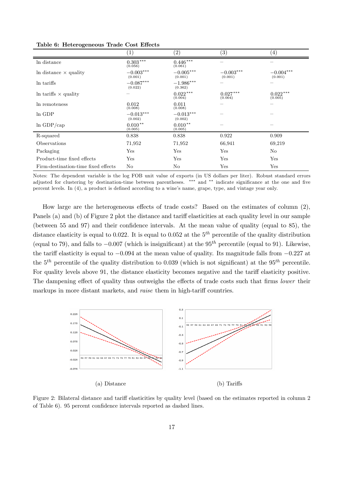|                                     | $\left( 1\right)$       | $\left( 2\right)$      | $\left( 3\right)$      | $\left( 4\right)$      |
|-------------------------------------|-------------------------|------------------------|------------------------|------------------------|
| In distance                         | $0.303\,***$<br>(0.056) | $0.446***$<br>(0.061)  |                        |                        |
| In distance $\times$ quality        | $-0.003***$<br>(0.001)  | $-0.005***$<br>(0.001) | $-0.003***$<br>(0.001) | $-0.004***$<br>(0.001) |
| In tariffs                          | $-0.087***$<br>(0.022)  | $-1.986***$<br>(0.362) |                        |                        |
| In tariffs $\times$ quality         |                         | $0.022***$<br>(0.004)  | $0.027***$<br>(0.004)  | $0.022***$<br>(0.005)  |
| In remoteness                       | 0.012<br>(0.008)        | 0.011<br>(0.008)       |                        |                        |
| ln GDP                              | $-0.013***$<br>(0.002)  | $-0.013***$<br>(0.002) |                        |                        |
| $ln$ GDP/cap                        | $0.010**$<br>(0.005)    | $0.010**$<br>(0.005)   |                        |                        |
| R-squared                           | 0.838                   | 0.838                  | 0.922                  | 0.909                  |
| Observations                        | 71,952                  | 71,952                 | 66,941                 | 69,219                 |
| Packaging                           | Yes                     | Yes                    | Yes                    | No                     |
| Product-time fixed effects          | Yes                     | Yes                    | Yes                    | Yes                    |
| Firm-destination-time fixed effects | No.                     | No.                    | Yes                    | Yes                    |

Table 6: Heterogeneous Trade Cost Effects

Notes: The dependent variable is the log FOB unit value of exports (in US dollars per liter). Robust standard errors adjusted for clustering by destination-time between parentheses.  $***$  and  $**$  indicate significance at the one and five percent levels. In (4), a product is defined according to a wine's name, grape, type, and vintage year only.

How large are the heterogeneous effects of trade costs? Based on the estimates of column  $(2)$ , Panels (a) and (b) of Figure 2 plot the distance and tariff elasticities at each quality level in our sample (between 55 and 97) and their confidence intervals. At the mean value of quality (equal to 85), the distance elasticity is equal to 0.022. It is equal to 0.052 at the  $5<sup>th</sup>$  percentile of the quality distribution (equal to 79), and falls to  $-0.007$  (which is insignificant) at the 95<sup>th</sup> percentile (equal to 91). Likewise, the tariff elasticity is equal to  $-0.094$  at the mean value of quality. Its magnitude falls from  $-0.227$  at the  $5<sup>th</sup>$  percentile of the quality distribution to 0.039 (which is not significant) at the 95<sup>th</sup> percentile. For quality levels above 91, the distance elasticity becomes negative and the tariff elasticity positive. The dampening effect of quality thus outweighs the effects of trade costs such that firms *lower* their markups in more distant markets, and *raise* them in high-tariff countries.



Figure 2: Bilateral distance and tariff elasticities by quality level (based on the estimates reported in column 2 of Table 6). 95 percent confidence intervals reported as dashed lines.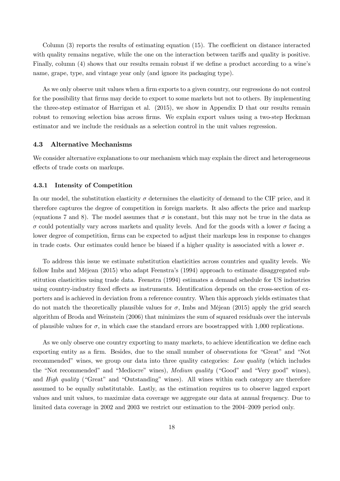Column  $(3)$  reports the results of estimating equation  $(15)$ . The coefficient on distance interacted with quality remains negative, while the one on the interaction between tariffs and quality is positive. Finally, column (4) shows that our results remain robust if we define a product according to a wine's name, grape, type, and vintage year only (and ignore its packaging type).

As we only observe unit values when a firm exports to a given country, our regressions do not control for the possibility that firms may decide to export to some markets but not to others. By implementing the three-step estimator of Harrigan et al. (2015), we show in Appendix D that our results remain robust to removing selection bias across firms. We explain export values using a two-step Heckman estimator and we include the residuals as a selection control in the unit values regression.

#### 4.3 Alternative Mechanisms

We consider alternative explanations to our mechanism which may explain the direct and heterogeneous effects of trade costs on markups.

#### 4.3.1 Intensity of Competition

In our model, the substitution elasticity  $\sigma$  determines the elasticity of demand to the CIF price, and it therefore captures the degree of competition in foreign markets. It also affects the price and markup (equations 7 and 8). The model assumes that  $\sigma$  is constant, but this may not be true in the data as  $\sigma$  could potentially vary across markets and quality levels. And for the goods with a lower  $\sigma$  facing a lower degree of competition, firms can be expected to adjust their markups less in response to changes in trade costs. Our estimates could hence be biased if a higher quality is associated with a lower  $\sigma$ .

To address this issue we estimate substitution elasticities across countries and quality levels. We follow Imbs and Méjean (2015) who adapt Feenstra's (1994) approach to estimate disaggregated substitution elasticities using trade data. Feenstra (1994) estimates a demand schedule for US industries using country-industry fixed effects as instruments. Identification depends on the cross-section of exporters and is achieved in deviation from a reference country. When this approach yields estimates that do not match the theoretically plausible values for  $\sigma$ , Imbs and Méjean (2015) apply the grid search algorithm of Broda and Weinstein (2006) that minimizes the sum of squared residuals over the intervals of plausible values for  $\sigma$ , in which case the standard errors are boostrapped with 1,000 replications.

As we only observe one country exporting to many markets, to achieve identification we define each exporting entity as a firm. Besides, due to the small number of observations for "Great" and "Not recommended" wines, we group our data into three quality categories: *Low quality* (which includes the "Not recommended" and "Mediocre" wines), *Medium quality* ("Good" and "Very good" wines), and *High quality* ("Great" and "Outstanding" wines). All wines within each category are therefore assumed to be equally substitutable. Lastly, as the estimation requires us to observe lagged export values and unit values, to maximize data coverage we aggregate our data at annual frequency. Due to limited data coverage in 2002 and 2003 we restrict our estimation to the 2004–2009 period only.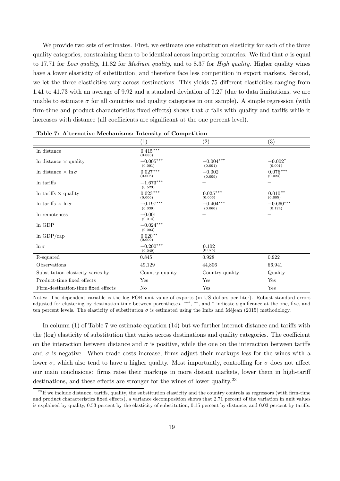We provide two sets of estimates. First, we estimate one substitution elasticity for each of the three quality categories, constraining them to be identical across importing countries. We find that  $\sigma$  is equal to 17.71 for *Low quality*, 11.82 for *Medium quality*, and to 8.37 for *High quality*. Higher quality wines have a lower elasticity of substitution, and therefore face less competition in export markets. Second, we let the three elasticities vary across destinations. This yields 75 different elasticities ranging from 1.41 to 41.73 with an average of 9.92 and a standard deviation of 9.27 (due to data limitations, we are unable to estimate  $\sigma$  for all countries and quality categories in our sample). A simple regression (with firm-time and product characteristics fixed effects) shows that  $\sigma$  falls with quality and tariffs while it increases with distance (all coefficients are significant at the one percent level).

|                                     | $\left(1\right)$       | (2)                         | $\left( 3\right)$      |
|-------------------------------------|------------------------|-----------------------------|------------------------|
| In distance                         | $0.415***$<br>(0.083)  |                             |                        |
| In distance $\times$ quality        | $-0.005***$<br>(0.001) | $-0.004^{***}\,$<br>(0.001) | $-0.002*$<br>(0.001)   |
| In distance $\times \ln \sigma$     | $0.027***$<br>(0.006)  | $-0.002$<br>(0.009)         | $0.076***$<br>(0.024)  |
| In tariffs                          | $-1.673***$<br>(0.523) |                             |                        |
| In tariffs $\times$ quality         | $0.023***$<br>(0.006)  | $0.025\,***$<br>(0.006)     | $0.010**$<br>(0.005)   |
| In tariffs $\times$ ln $\sigma$     | $-0.197***$<br>(0.039) | $-0.404***$<br>(0.060)      | $-0.660***$<br>(0.124) |
| In remoteness                       | $-0.001$<br>(0.014)    |                             |                        |
| In GDP                              | $-0.024***$<br>(0.003) |                             |                        |
| $ln$ GDP/cap                        | $0.020**$<br>(0.009)   |                             |                        |
| $\ln \sigma$                        | $-0.200***$<br>(0.049) | 0.102<br>(0.075)            |                        |
| R-squared                           | 0.845                  | 0.928                       | 0.922                  |
| Observations                        | 49,129                 | 44,806                      | 66,941                 |
| Substitution elasticity varies by   | Country-quality        | Country-quality             | Quality                |
| Product-time fixed effects          | Yes                    | Yes                         | Yes                    |
| Firm-destination-time fixed effects | No                     | Yes                         | Yes                    |

Table 7: Alternative Mechanisms: Intensity of Competition

Notes: The dependent variable is the log FOB unit value of exports (in US dollars per liter). Robust standard errors adjusted for clustering by destination-time between parentheses. \*\*\*, \*\*, and \* indicate significance at the one, five, and ten percent levels. The elasticity of substitution  $\sigma$  is estimated using the Imbs and Méjean (2015) methodology.

In column  $(1)$  of Table 7 we estimate equation  $(14)$  but we further interact distance and tariffs with the (log) elasticity of substitution that varies across destinations and quality categories. The coefficient on the interaction between distance and  $\sigma$  is positive, while the one on the interaction between tariffs and  $\sigma$  is negative. When trade costs increase, firms adjust their markups less for the wines with a lower  $\sigma$ , which also tend to have a higher quality. Most importantly, controlling for  $\sigma$  does not affect our main conclusions: firms raise their markups in more distant markets, lower them in high-tariff destinations, and these effects are stronger for the wines of lower quality.<sup>23</sup>

 $^{23}$  If we include distance, tariffs, quality, the substitution elasticity and the country controls as regressors (with firm-time and product characteristics fixed effects), a variance decomposition shows that 2.71 percent of the variation in unit values is explained by quality,  $0.53$  percent by the elasticity of substitution,  $0.15$  percent by distance, and  $0.03$  percent by tariffs.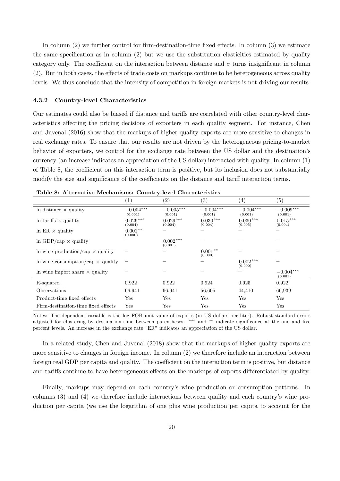In column  $(2)$  we further control for firm-destination-time fixed effects. In column  $(3)$  we estimate the same specification as in column  $(2)$  but we use the substitution elasticities estimated by quality category only. The coefficient on the interaction between distance and  $\sigma$  turns insignificant in column  $(2)$ . But in both cases, the effects of trade costs on markups continue to be heterogeneous across quality levels. We thus conclude that the intensity of competition in foreign markets is not driving our results.

#### 4.3.2 Country-level Characteristics

Our estimates could also be biased if distance and tariffs are correlated with other country-level characteristics affecting the pricing decisions of exporters in each quality segment. For instance, Chen and Juvenal (2016) show that the markups of higher quality exports are more sensitive to changes in real exchange rates. To ensure that our results are not driven by the heterogeneous pricing-to-market behavior of exporters, we control for the exchange rate between the US dollar and the destination's currency (an increase indicates an appreciation of the US dollar) interacted with quality. In column (1) of Table 8, the coefficient on this interaction term is positive, but its inclusion does not substantially modify the size and significance of the coefficients on the distance and tariff interaction terms.

|                                          |                        | (2)                    | $\left( 3\right)$      | (4)                     | (5)                    |
|------------------------------------------|------------------------|------------------------|------------------------|-------------------------|------------------------|
| In distance $\times$ quality             | $-0.004***$<br>(0.001) | $-0.005***$<br>(0.001) | $-0.004***$<br>(0.001) | $-0.004***$<br>(0.001)  | $-0.009***$<br>(0.001) |
| In tariffs $\times$ quality              | $0.026***$<br>(0.004)  | $0.029***$<br>(0.004)  | $0.030***$<br>(0.004)  | $0.030***$<br>(0.005)   | $0.015***$<br>(0.004)  |
| $\ln$ ER $\times$ quality                | $0.001**$<br>(0.000)   |                        |                        |                         |                        |
| $\ln$ GDP/cap $\times$ quality           |                        | $0.002***$<br>(0.001)  |                        |                         |                        |
| In wine production/cap $\times$ quality  |                        |                        | $0.001**$<br>(0.000)   |                         |                        |
| In wine consumption/cap $\times$ quality |                        |                        |                        | $0.002\,***$<br>(0.000) |                        |
| In wine import share $\times$ quality    |                        |                        |                        |                         | $-0.004***$<br>(0.001) |
| R-squared                                | 0.922                  | 0.922                  | 0.924                  | 0.925                   | 0.922                  |
| Observations                             | 66,941                 | 66,941                 | 56,605                 | 44,410                  | 66,939                 |
| Product-time fixed effects               | Yes                    | Yes                    | Yes                    | Yes                     | Yes                    |
| Firm-destination-time fixed effects      | $_{\rm Yes}$           | Yes                    | Yes                    | Yes                     | Yes                    |

Table 8: Alternative Mechanisms: Country-level Characteristics

Notes: The dependent variable is the log FOB unit value of exports (in US dollars per liter). Robust standard errors adjusted for clustering by destination-time between parentheses. \*\*\* and \*\* indicate significance at the one and five percent levels. An increase in the exchange rate "ER" indicates an appreciation of the US dollar.

In a related study, Chen and Juvenal (2018) show that the markups of higher quality exports are more sensitive to changes in foreign income. In column (2) we therefore include an interaction between foreign real GDP per capita and quality. The coefficient on the interaction term is positive, but distance and tariffs continue to have heterogeneous effects on the markups of exports differentiated by quality.

Finally, markups may depend on each country's wine production or consumption patterns. In columns (3) and (4) we therefore include interactions between quality and each country's wine production per capita (we use the logarithm of one plus wine production per capita to account for the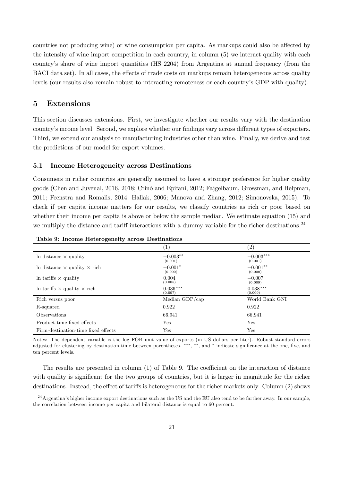countries not producing wine) or wine consumption per capita. As markups could also be affected by the intensity of wine import competition in each country, in column (5) we interact quality with each country's share of wine import quantities (HS 2204) from Argentina at annual frequency (from the BACI data set). In all cases, the effects of trade costs on markups remain heterogeneous across quality levels (our results also remain robust to interacting remoteness or each country's GDP with quality).

# 5 Extensions

This section discusses extensions. First, we investigate whether our results vary with the destination country's income level. Second, we explore whether our findings vary across different types of exporters. Third, we extend our analysis to manufacturing industries other than wine. Finally, we derive and test the predictions of our model for export volumes.

#### 5.1 Income Heterogeneity across Destinations

Consumers in richer countries are generally assumed to have a stronger preference for higher quality goods (Chen and Juvenal, 2016, 2018; Crinò and Epifani, 2012; Fajgelbaum, Grossman, and Helpman, 2011; Feenstra and Romalis, 2014; Hallak, 2006; Manova and Zhang, 2012; Simonovska, 2015). To check if per capita income matters for our results, we classify countries as rich or poor based on whether their income per capita is above or below the sample median. We estimate equation (15) and we multiply the distance and tariff interactions with a dummy variable for the richer destinations.<sup>24</sup>

|                                            | $\left(1\right)$      | (2)                    |
|--------------------------------------------|-----------------------|------------------------|
| In distance $\times$ quality               | $-0.003**$<br>(0.001) | $-0.003***$<br>(0.001) |
| In distance $\times$ quality $\times$ rich | $-0.001*$<br>(0.000)  | $-0.001**$<br>(0.000)  |
| In tariffs $\times$ quality                | 0.004<br>(0.005)      | $-0.007$<br>(0.009)    |
| In tariffs $\times$ quality $\times$ rich  | $0.036***$<br>(0.007) | $0.038***$<br>(0.009)  |
| Rich versus poor                           | Median $GDP/cap$      | World Bank GNI         |
| R-squared                                  | 0.922                 | 0.922                  |
| <i>Observations</i>                        | 66,941                | 66,941                 |
| Product-time fixed effects                 | Yes                   | Yes                    |
| Firm-destination-time fixed effects        | Yes                   | Yes                    |

Table 9: Income Heterogeneity across Destinations

Notes: The dependent variable is the log FOB unit value of exports (in US dollars per liter). Robust standard errors adjusted for clustering by destination-time between parentheses. \*\*\*, \*\*, and \* indicate significance at the one, five, and ten percent levels.

The results are presented in column  $(1)$  of Table 9. The coefficient on the interaction of distance with quality is significant for the two groups of countries, but it is larger in magnitude for the richer destinations. Instead, the effect of tariffs is heterogeneous for the richer markets only. Column (2) shows

 $^{24}$ Argentina's higher income export destinations such as the US and the EU also tend to be farther away. In our sample, the correlation between income per capita and bilateral distance is equal to 60 percent.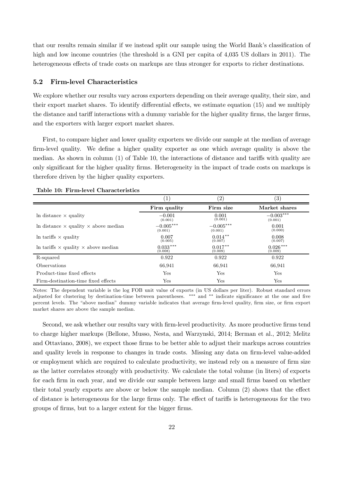that our results remain similar if we instead split our sample using the World Bank's classification of high and low income countries (the threshold is a GNI per capita of 4,035 US dollars in 2011). The heterogeneous effects of trade costs on markups are thus stronger for exports to richer destinations.

#### 5.2 Firm-level Characteristics

We explore whether our results vary across exporters depending on their average quality, their size, and their export market shares. To identify differential effects, we estimate equation (15) and we multiply the distance and tariff interactions with a dummy variable for the higher quality firms, the larger firms, and the exporters with larger export market shares.

First, to compare higher and lower quality exporters we divide our sample at the median of average firm-level quality. We define a higher quality exporter as one which average quality is above the median. As shown in column  $(1)$  of Table 10, the interactions of distance and tariffs with quality are only significant for the higher quality firms. Heterogeneity in the impact of trade costs on markups is therefore driven by the higher quality exporters.

|                                                    | 1                      | (2)                    | $\left( 3\right)$      |
|----------------------------------------------------|------------------------|------------------------|------------------------|
|                                                    | Firm quality           | Firm size              | Market shares          |
| In distance $\times$ quality                       | $-0.001$<br>(0.001)    | 0.001<br>(0.001)       | $-0.003***$<br>(0.001) |
| In distance $\times$ quality $\times$ above median | $-0.005***$<br>(0.001) | $-0.005***$<br>(0.001) | 0.001<br>(0.000)       |
| In tariffs $\times$ quality                        | 0.007<br>(0.005)       | $0.014***$<br>(0.007)  | 0.008<br>(0.007)       |
| In tariffs $\times$ quality $\times$ above median  | $0.033***$<br>(0.008)  | $0.017**$<br>(0.009)   | $0.026***$<br>(0.009)  |
| R-squared                                          | 0.922                  | 0.922                  | 0.922                  |
| <i><b>Observations</b></i>                         | 66,941                 | 66,941                 | 66,941                 |
| Product-time fixed effects                         | Yes                    | Yes                    | Yes                    |
| Firm-destination-time fixed effects                | $_{\rm Yes}$           | $_{\rm Yes}$           | Yes                    |

Table 10: Firm-level Characteristics

Notes: The dependent variable is the log FOB unit value of exports (in US dollars per liter). Robust standard errors adjusted for clustering by destination-time between parentheses. \*\*\* and \*\* indicate significance at the one and five percent levels. The "above median" dummy variable indicates that average firm-level quality, firm size, or firm export market shares are above the sample median.

Second, we ask whether our results vary with firm-level productivity. As more productive firms tend to charge higher markups (Bellone, Musso, Nesta, and Warzynski, 2014; Berman et al., 2012; Melitz and Ottaviano, 2008), we expect those firms to be better able to adjust their markups across countries and quality levels in response to changes in trade costs. Missing any data on firm-level value-added or employment which are required to calculate productivity, we instead rely on a measure of firm size as the latter correlates strongly with productivity. We calculate the total volume (in liters) of exports for each firm in each year, and we divide our sample between large and small firms based on whether their total yearly exports are above or below the sample median. Column  $(2)$  shows that the effect of distance is heterogeneous for the large firms only. The effect of tariffs is heterogeneous for the two groups of firms, but to a larger extent for the bigger firms.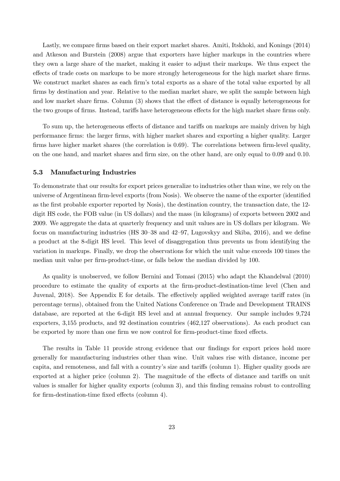Lastly, we compare firms based on their export market shares. Amiti, Itskhoki, and Konings (2014) and Atkeson and Burstein (2008) argue that exporters have higher markups in the countries where they own a large share of the market, making it easier to adjust their markups. We thus expect the effects of trade costs on markups to be more strongly heterogeneous for the high market share firms. We construct market shares as each firm's total exports as a share of the total value exported by all firms by destination and year. Relative to the median market share, we split the sample between high and low market share firms. Column  $(3)$  shows that the effect of distance is equally heterogeneous for the two groups of firms. Instead, tariffs have heterogeneous effects for the high market share firms only.

To sum up, the heterogeneous effects of distance and tariffs on markups are mainly driven by high performance firms: the larger firms, with higher market shares and exporting a higher quality. Larger firms have higher market shares (the correlation is  $0.69$ ). The correlations between firm-level quality, on the one hand, and market shares and firm size, on the other hand, are only equal to 0.09 and 0.10.

#### 5.3 Manufacturing Industries

To demonstrate that our results for export prices generalize to industries other than wine, we rely on the universe of Argentinean firm-level exports (from Nosis). We observe the name of the exporter (identified as the first probable exporter reported by Nosis), the destination country, the transaction date, the 12digit HS code, the FOB value (in US dollars) and the mass (in kilograms) of exports between 2002 and 2009. We aggregate the data at quarterly frequency and unit values are in US dollars per kilogram. We focus on manufacturing industries (HS  $30-38$  and  $42-97$ , Lugovskyy and Skiba,  $2016$ ), and we define a product at the 8-digit HS level. This level of disaggregation thus prevents us from identifying the variation in markups. Finally, we drop the observations for which the unit value exceeds 100 times the median unit value per firm-product-time, or falls below the median divided by 100.

As quality is unobserved, we follow Bernini and Tomasi (2015) who adapt the Khandelwal (2010) procedure to estimate the quality of exports at the firm-product-destination-time level (Chen and Juvenal, 2018). See Appendix E for details. The effectively applied weighted average tariff rates (in percentage terms), obtained from the United Nations Conference on Trade and Development TRAINS database, are reported at the 6-digit HS level and at annual frequency. Our sample includes 9,724 exporters, 3,155 products, and 92 destination countries (462,127 observations). As each product can be exported by more than one firm we now control for firm-product-time fixed effects.

The results in Table 11 provide strong evidence that our findings for export prices hold more generally for manufacturing industries other than wine. Unit values rise with distance, income per capita, and remoteness, and fall with a country's size and tariffs (column 1). Higher quality goods are exported at a higher price (column 2). The magnitude of the effects of distance and tariffs on unit values is smaller for higher quality exports (column 3), and this finding remains robust to controlling for firm-destination-time fixed effects (column 4).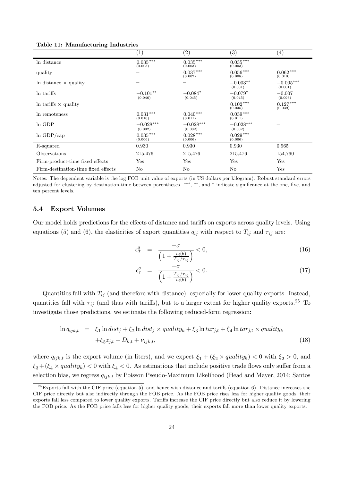|                                     | (1)                     | (2)                    | $\left( 3\right)$       | $\left( 4\right)$      |
|-------------------------------------|-------------------------|------------------------|-------------------------|------------------------|
| In distance                         | $0.035***$<br>(0.003)   | $0.035***$<br>(0.003)  | $0.035\,***$<br>(0.003) |                        |
| quality                             |                         | $0.037***$<br>(0.002)  | $0.056\,***$<br>(0.008) | $0.062***$<br>(0.010)  |
| In distance $\times$ quality        |                         |                        | $-0.003**$<br>(0.001)   | $-0.005***$<br>(0.001) |
| In tariffs                          | $-0.101**$<br>(0.046)   | $-0.084*$<br>(0.045)   | $-0.079*$<br>(0.045)    | $-0.007$<br>(0.093)    |
| In tariffs $\times$ quality         |                         |                        | $0.102***$<br>(0.035)   | $0.127***$<br>(0.039)  |
| In remoteness                       | $0.031\,***$<br>(0.010) | $0.040***$<br>(0.011)  | $0.039***$<br>(0.011)   |                        |
| In GDP                              | $-0.028***$<br>(0.002)  | $-0.028***$<br>(0.002) | $-0.028***$<br>(0.002)  |                        |
| $ln$ GDP/cap                        | $0.035***$<br>(0.006)   | $0.028***$<br>(0.006)  | $0.029***$<br>(0.006)   |                        |
| R-squared                           | 0.930                   | 0.930                  | 0.930                   | 0.965                  |
| Observations                        | 215,476                 | 215,476                | 215,476                 | 154,760                |
| Firm-product-time fixed effects     | Yes                     | Yes                    | Yes                     | Yes                    |
| Firm-destination-time fixed effects | N <sub>o</sub>          | N <sub>o</sub>         | N <sub>o</sub>          | Yes                    |

Table 11: Manufacturing Industries

Notes: The dependent variable is the log FOB unit value of exports (in US dollars per kilogram). Robust standard errors adjusted for clustering by destination-time between parentheses. \*\*\*, \*\*, and \* indicate significance at the one, five, and ten percent levels.

## 5.4 Export Volumes

Our model holds predictions for the effects of distance and tariffs on exports across quality levels. Using equations (5) and (6), the elasticities of export quantities  $q_{ij}$  with respect to  $T_{ij}$  and  $\tau_{ij}$  are:

$$
\epsilon_T^q = \frac{-\sigma}{\left(1 + \frac{c_i(\theta)}{T_{ij}/\tau_{ij}}\right)} < 0,\tag{16}
$$

$$
\epsilon_{\tau}^{q} = \frac{-\sigma}{\left(1 + \frac{T_{ij}/\tau_{ij}}{c_{i}(\theta)}\right)} < 0.
$$
\n(17)

Quantities fall with  $T_{ij}$  (and therefore with distance), especially for lower quality exports. Instead, quantities fall with  $\tau_{ij}$  (and thus with tariffs), but to a larger extent for higher quality exports.<sup>25</sup> To investigate those predictions, we estimate the following reduced-form regression:

$$
\ln q_{ijk,t} = \xi_1 \ln dist_j + \xi_2 \ln dist_j \times quality_k + \xi_3 \ln tar_{j,t} + \xi_4 \ln tar_{j,t} \times quality_k
$$
  
 
$$
+ \xi_5 z_{j,t} + D_{k,t} + \nu_{ijk,t}, \tag{18}
$$

where  $q_{ijk,t}$  is the export volume (in liters), and we expect  $\xi_1 + (\xi_2 \times quality_k) < 0$  with  $\xi_2 > 0$ , and  $\xi_3+(\xi_4 \times quality_k) < 0$  with  $\xi_4 < 0$ . As estimations that include positive trade flows only suffer from a selection bias, we regress  $q_{ijk,t}$  by Poisson Pseudo-Maximum Likelihood (Head and Mayer, 2014; Santos

 $25$  Exports fall with the CIF price (equation 5), and hence with distance and tariffs (equation 6). Distance increases the CIF price directly but also indirectly through the FOB price. As the FOB price rises less for higher quality goods, their exports fall less compared to lower quality exports. Tariffs increase the CIF price directly but also reduce it by lowering the FOB price. As the FOB price falls less for higher quality goods, their exports fall more than lower quality exports.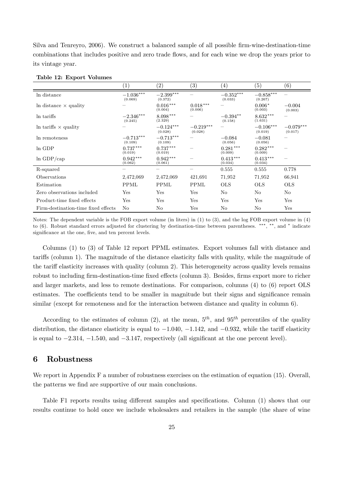Silva and Tenreyro, 2006). We construct a balanced sample of all possible firm-wine-destination-time combinations that includes positive and zero trade flows, and for each wine we drop the years prior to its vintage year.

|                                     | $\left( 1\right)$                  | $\left( 2\right)$      | $\left( 3\right)$          | $\left(4\right)$       | $\left( 5\right)$      | $\left( 6\right)$      |
|-------------------------------------|------------------------------------|------------------------|----------------------------|------------------------|------------------------|------------------------|
| In distance                         | $-1.036^{***}\,$<br>(0.069)        | $-2.399***$<br>(0.372) |                            | $-0.352***$<br>(0.033) | $-0.858***$<br>(0.267) |                        |
| In distance $\times$ quality        |                                    | $0.016***$<br>(0.004)  | $0.018^{\,***}$<br>(0.006) |                        | $0.006*$<br>(0.003)    | $-0.004$<br>(0.003)    |
| In tariffs                          | $-2.346^{\ast\ast\ast}$<br>(0.245) | $8.098***$<br>(2.329)  |                            | $-0.394**$<br>(0.158)  | $8.632***$<br>(1.631)  |                        |
| In tariffs $\times$ quality         |                                    | $-0.124***$<br>(0.028) | $-0.219***$<br>(0.028)     |                        | $-0.106***$<br>(0.019) | $-0.079***$<br>(0.017) |
| In remoteness                       | $-0.713***$<br>(0.109)             | $-0.713***$<br>(0.109) |                            | $-0.084$<br>(0.056)    | $-0.081$<br>(0.056)    |                        |
| ln GDP                              | $0.737***$<br>(0.019)              | $0.737***$<br>(0.019)  |                            | $0.281***$<br>(0.009)  | $0.282***$<br>(0.009)  |                        |
| $ln$ GDP/cap                        | $0.942***$<br>(0.062)              | $0.942***$<br>(0.061)  |                            | $0.413***$<br>(0.034)  | $0.413***$<br>(0.034)  |                        |
| R-squared                           |                                    |                        |                            | 0.555                  | 0.555                  | 0.778                  |
| Observations                        | 2,472,069                          | 2,472,069              | 421,691                    | 71,952                 | 71,952                 | 66,941                 |
| Estimation                          | PPML                               | PPML                   | PPML                       | <b>OLS</b>             | <b>OLS</b>             | <b>OLS</b>             |
| Zero observations included          | Yes                                | Yes                    | Yes                        | No                     | No                     | No                     |
| Product-time fixed effects          | Yes                                | Yes                    | Yes                        | Yes                    | Yes                    | Yes                    |
| Firm-destination-time fixed effects | No                                 | No                     | Yes                        | No                     | No                     | Yes                    |

#### Table 12: Export Volumes

Notes: The dependent variable is the FOB export volume (in liters) in (1) to (3), and the log FOB export volume in (4) to (6). Robust standard errors adjusted for clustering by destination-time between parentheses. \*\*\*, \*\*, and \* indicate significance at the one, five, and ten percent levels.

Columns (1) to (3) of Table 12 report PPML estimates. Export volumes fall with distance and tariffs (column 1). The magnitude of the distance elasticity falls with quality, while the magnitude of the tariff elasticity increases with quality (column 2). This heterogeneity across quality levels remains robust to including firm-destination-time fixed effects (column 3). Besides, firms export more to richer and larger markets, and less to remote destinations. For comparison, columns (4) to (6) report OLS estimates. The coefficients tend to be smaller in magnitude but their signs and significance remain similar (except for remoteness and for the interaction between distance and quality in column 6).

According to the estimates of column (2), at the mean,  $5<sup>th</sup>$ , and  $95<sup>th</sup>$  percentiles of the quality distribution, the distance elasticity is equal to  $-1.040$ ,  $-1.142$ , and  $-0.932$ , while the tariff elasticity is equal to  $-2.314$ ,  $-1.540$ , and  $-3.147$ , respectively (all significant at the one percent level).

# 6 Robustness

We report in Appendix F a number of robustness exercises on the estimation of equation (15). Overall, the patterns we find are supportive of our main conclusions.

Table F1 reports results using different samples and specifications. Column (1) shows that our results continue to hold once we include wholesalers and retailers in the sample (the share of wine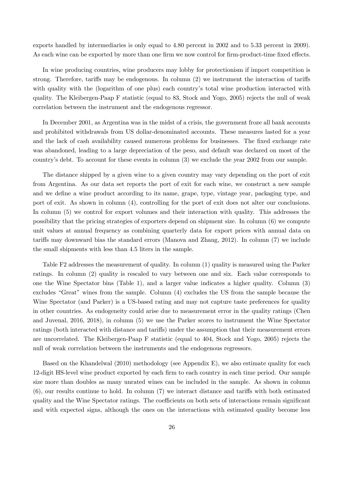exports handled by intermediaries is only equal to 4.80 percent in 2002 and to 5.33 percent in 2009). As each wine can be exported by more than one firm we now control for firm-product-time fixed effects.

In wine producing countries, wine producers may lobby for protectionism if import competition is strong. Therefore, tariffs may be endogenous. In column  $(2)$  we instrument the interaction of tariffs with quality with the (logarithm of one plus) each country's total wine production interacted with quality. The Kleibergen-Paap F statistic (equal to 83, Stock and Yogo, 2005) rejects the null of weak correlation between the instrument and the endogenous regressor.

In December 2001, as Argentina was in the midst of a crisis, the government froze all bank accounts and prohibited withdrawals from US dollar-denominated accounts. These measures lasted for a year and the lack of cash availability caused numerous problems for businesses. The fixed exchange rate was abandoned, leading to a large depreciation of the peso, and default was declared on most of the country's debt. To account for these events in column (3) we exclude the year 2002 from our sample.

The distance shipped by a given wine to a given country may vary depending on the port of exit from Argentina. As our data set reports the port of exit for each wine, we construct a new sample and we define a wine product according to its name, grape, type, vintage year, packaging type, and port of exit. As shown in column (4), controlling for the port of exit does not alter our conclusions. In column (5) we control for export volumes and their interaction with quality. This addresses the possibility that the pricing strategies of exporters depend on shipment size. In column (6) we compute unit values at annual frequency as combining quarterly data for export prices with annual data on tariffs may downward bias the standard errors (Manova and Zhang, 2012). In column (7) we include the small shipments with less than 4.5 liters in the sample.

Table F2 addresses the measurement of quality. In column (1) quality is measured using the Parker ratings. In column (2) quality is rescaled to vary between one and six. Each value corresponds to one the Wine Spectator bins (Table 1), and a larger value indicates a higher quality. Column (3) excludes "Great" wines from the sample. Column (4) excludes the US from the sample because the Wine Spectator (and Parker) is a US-based rating and may not capture taste preferences for quality in other countries. As endogeneity could arise due to measurement error in the quality ratings (Chen and Juvenal, 2016, 2018), in column (5) we use the Parker scores to instrument the Wine Spectator ratings (both interacted with distance and tariffs) under the assumption that their measurement errors are uncorrelated. The Kleibergen-Paap F statistic (equal to 404, Stock and Yogo, 2005) rejects the null of weak correlation between the instruments and the endogenous regressors.

Based on the Khandelwal (2010) methodology (see Appendix E), we also estimate quality for each 12-digit HS-level wine product exported by each firm to each country in each time period. Our sample size more than doubles as many unrated wines can be included in the sample. As shown in column  $(6)$ , our results continue to hold. In column  $(7)$  we interact distance and tariffs with both estimated quality and the Wine Spectator ratings. The coefficients on both sets of interactions remain significant and with expected signs, although the ones on the interactions with estimated quality become less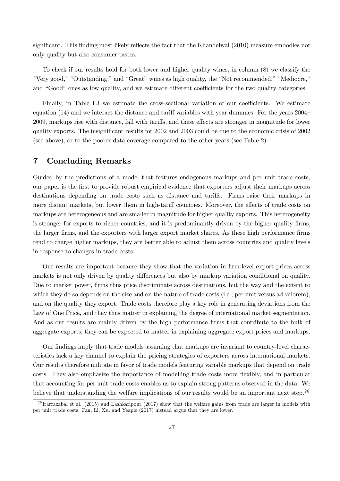significant. This finding most likely reflects the fact that the Khandelwal (2010) measure embodies not only quality but also consumer tastes.

To check if our results hold for both lower and higher quality wines, in column (8) we classify the "Very good," "Outstanding," and "Great" wines as high quality, the "Not recommended," "Mediocre," and "Good" ones as low quality, and we estimate different coefficients for the two quality categories.

Finally, in Table F3 we estimate the cross-sectional variation of our coefficients. We estimate equation  $(14)$  and we interact the distance and tariff variables with year dummies. For the years  $2004$ 2009, markups rise with distance, fall with tariffs, and these effects are stronger in magnitude for lower quality exports. The insignificant results for 2002 and 2003 could be due to the economic crisis of 2002 (see above), or to the poorer data coverage compared to the other years (see Table 2).

# 7 Concluding Remarks

Guided by the predictions of a model that features endogenous markups and per unit trade costs, our paper is the first to provide robust empirical evidence that exporters adjust their markups across destinations depending on trade costs such as distance and tariffs. Firms raise their markups in more distant markets, but lower them in high-tariff countries. Moreover, the effects of trade costs on markups are heterogeneous and are smaller in magnitude for higher quality exports. This heterogeneity is stronger for exports to richer countries, and it is predominantly driven by the higher quality firms, the larger firms, and the exporters with larger export market shares. As these high performance firms tend to charge higher markups, they are better able to adjust them across countries and quality levels in response to changes in trade costs.

Our results are important because they show that the variation in firm-level export prices across markets is not only driven by quality differences but also by markup variation conditional on quality. Due to market power, firms thus price discriminate across destinations, but the way and the extent to which they do so depends on the size and on the nature of trade costs (i.e., per unit versus ad valorem), and on the quality they export. Trade costs therefore play a key role in generating deviations from the Law of One Price, and they thus matter in explaining the degree of international market segmentation. And as our results are mainly driven by the high performance firms that contribute to the bulk of aggregate exports, they can be expected to matter in explaining aggregate export prices and markups.

Our findings imply that trade models assuming that markups are invariant to country-level characteristics lack a key channel to explain the pricing strategies of exporters across international markets. Our results therefore militate in favor of trade models featuring variable markups that depend on trade costs. They also emphasize the importance of modelling trade costs more flexibly, and in particular that accounting for per unit trade costs enables us to explain strong patterns observed in the data. We believe that understanding the welfare implications of our results would be an important next step.<sup>26</sup>

<sup>&</sup>lt;sup>26</sup> Irarrazabal et al. (2015) and Lashkaripour (2017) show that the welfare gains from trade are larger in models with per unit trade costs. Fan, Li, Xu, and Yeaple (2017) instead argue that they are lower.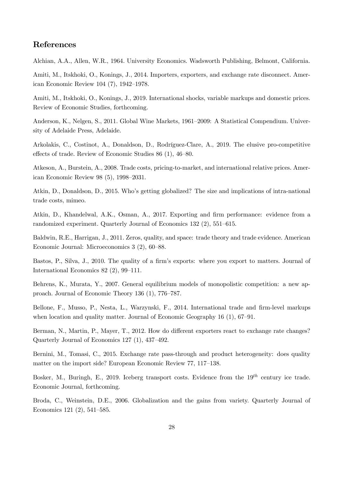# References

Alchian, A.A., Allen, W.R., 1964. University Economics. Wadsworth Publishing, Belmont, California.

Amiti, M., Itskhoki, O., Konings, J., 2014. Importers, exporters, and exchange rate disconnect. American Economic Review 104 (7), 1942–1978.

Amiti, M., Itskhoki, O., Konings, J., 2019. International shocks, variable markups and domestic prices. Review of Economic Studies, forthcoming.

Anderson, K., Nelgen, S., 2011. Global Wine Markets, 1961–2009: A Statistical Compendium. University of Adelaide Press, Adelaide.

Arkolakis, C., Costinot, A., Donaldson, D., Rodríguez-Clare, A., 2019. The elusive pro-competitive effects of trade. Review of Economic Studies 86 (1), 46–80.

Atkeson, A., Burstein, A., 2008. Trade costs, pricing-to-market, and international relative prices. American Economic Review 98 (5), 1998–2031.

Atkin, D., Donaldson, D., 2015. Who's getting globalized? The size and implications of intra-national trade costs, mimeo.

Atkin, D., Khandelwal, A.K., Osman, A., 2017. Exporting and firm performance: evidence from a randomized experiment. Quarterly Journal of Economics 132 (2), 551–615.

Baldwin, R.E., Harrigan, J., 2011. Zeros, quality, and space: trade theory and trade evidence. American Economic Journal: Microeconomics 3 (2), 60–88.

Bastos, P., Silva, J., 2010. The quality of a firm's exports: where you export to matters. Journal of International Economics 82 (2), 99–111.

Behrens, K., Murata, Y., 2007. General equilibrium models of monopolistic competition: a new approach. Journal of Economic Theory 136 (1), 776–787.

Bellone, F., Musso, P., Nesta, L., Warzynski, F., 2014. International trade and firm-level markups when location and quality matter. Journal of Economic Geography 16 (1), 67–91.

Berman, N., Martin, P., Mayer, T., 2012. How do different exporters react to exchange rate changes? Quarterly Journal of Economics 127 (1), 437–492.

Bernini, M., Tomasi, C., 2015. Exchange rate pass-through and product heterogeneity: does quality matter on the import side? European Economic Review 77, 117–138.

Bosker, M., Buringh, E., 2019. Iceberg transport costs. Evidence from the  $19^{th}$  century ice trade. Economic Journal, forthcoming.

Broda, C., Weinstein, D.E., 2006. Globalization and the gains from variety. Quarterly Journal of Economics 121 (2), 541–585.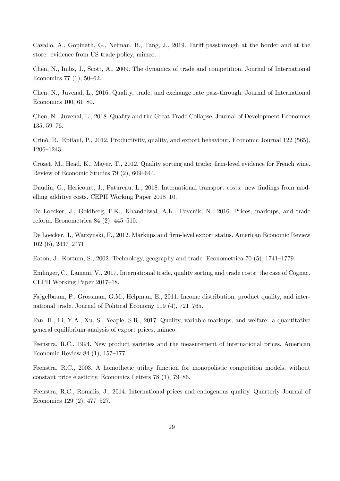Cavallo, A., Gopinath, G., Neiman, B., Tang, J., 2019. Tariff passthrough at the border and at the store: evidence from US trade policy, mimeo.

Chen, N., Imbs, J., Scott, A., 2009. The dynamics of trade and competition. Journal of International Economics 77 (1), 50–62.

Chen, N., Juvenal, L., 2016. Quality, trade, and exchange rate pass-through. Journal of International Economics 100, 61–80.

Chen, N., Juvenal, L., 2018. Quality and the Great Trade Collapse. Journal of Development Economics 135, 59–76.

Crinò, R., Epifani, P., 2012. Productivity, quality, and export behaviour. Economic Journal 122 (565), 1206–1243.

Crozet, M., Head, K., Mayer, T., 2012. Quality sorting and trade: firm-level evidence for French wine. Review of Economic Studies 79 (2), 609–644.

Daudin, G., Héricourt, J., Patureau, L., 2018. International transport costs: new findings from modelling additive costs. CEPII Working Paper 2018–10.

De Loecker, J., Goldberg, P.K., Khandelwal, A.K., Pavcnik, N., 2016. Prices, markups, and trade reform. Econometrica 84 (2), 445–510.

De Loecker, J., Warzynski, F., 2012. Markups and firm-level export status. American Economic Review 102 (6), 2437–2471.

Eaton, J., Kortum, S., 2002. Technology, geography and trade. Econometrica 70 (5), 1741–1779.

Emlinger, C., Lamani, V., 2017. International trade, quality sorting and trade costs: the case of Cognac. CEPII Working Paper 2017–18.

Fajgelbaum, P., Grossman, G.M., Helpman, E., 2011. Income distribution, product quality, and international trade. Journal of Political Economy 119 (4), 721–765.

Fan, H., Li, Y.A., Xu, S., Yeaple, S.R., 2017. Quality, variable markups, and welfare: a quantitative general equilibrium analysis of export prices, mimeo.

Feenstra, R.C., 1994. New product varieties and the measurement of international prices. American Economic Review 84 (1), 157–177.

Feenstra, R.C., 2003. A homothetic utility function for monopolistic competition models, without constant price elasticity. Economics Letters 78 (1), 79–86.

Feenstra, R.C., Romalis, J., 2014. International prices and endogenous quality. Quarterly Journal of Economics 129 (2), 477–527.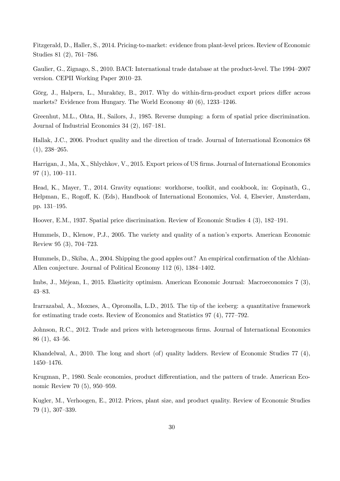Fitzgerald, D., Haller, S., 2014. Pricing-to-market: evidence from plant-level prices. Review of Economic Studies 81 (2), 761–786.

Gaulier, G., Zignago, S., 2010. BACI: International trade database at the product-level. The 1994–2007 version. CEPII Working Paper 2010–23.

Görg, J., Halpern, L., Muraközy, B., 2017. Why do within-firm-product export prices differ across markets? Evidence from Hungary. The World Economy 40 (6), 1233–1246.

Greenhut, M.L., Ohta, H., Sailors, J., 1985. Reverse dumping: a form of spatial price discrimination. Journal of Industrial Economics 34 (2), 167–181.

Hallak, J.C., 2006. Product quality and the direction of trade. Journal of International Economics 68  $(1), 238 - 265.$ 

Harrigan, J., Ma, X., Shlychkov, V., 2015. Export prices of US firms. Journal of International Economics 97 (1), 100–111.

Head, K., Mayer, T., 2014. Gravity equations: workhorse, toolkit, and cookbook, in: Gopinath, G., Helpman, E., Rogoff, K. (Eds), Handbook of International Economics, Vol. 4, Elsevier, Amsterdam, pp. 131–195.

Hoover, E.M., 1937. Spatial price discrimination. Review of Economic Studies 4 (3), 182–191.

Hummels, D., Klenow, P.J., 2005. The variety and quality of a nation's exports. American Economic Review 95 (3), 704–723.

Hummels, D., Skiba, A., 2004. Shipping the good apples out? An empirical confirmation of the Alchian-Allen conjecture. Journal of Political Economy 112 (6), 1384–1402.

Imbs, J., Méjean, I., 2015. Elasticity optimism. American Economic Journal: Macroeconomics 7 (3), 43–83.

Irarrazabal, A., Moxnes, A., Opromolla, L.D., 2015. The tip of the iceberg: a quantitative framework for estimating trade costs. Review of Economics and Statistics 97 (4), 777–792.

Johnson, R.C., 2012. Trade and prices with heterogeneous firms. Journal of International Economics 86 (1), 43–56.

Khandelwal, A., 2010. The long and short (of) quality ladders. Review of Economic Studies 77 (4), 1450–1476.

Krugman, P., 1980. Scale economies, product differentiation, and the pattern of trade. American Economic Review 70 (5), 950–959.

Kugler, M., Verhoogen, E., 2012. Prices, plant size, and product quality. Review of Economic Studies 79 (1), 307–339.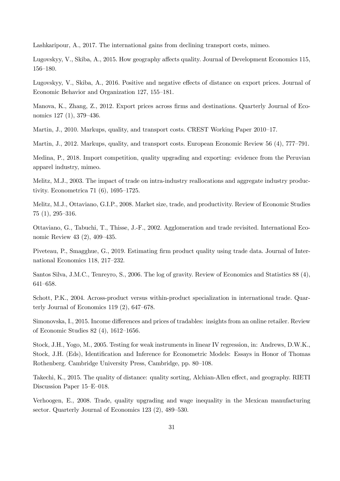Lashkaripour, A., 2017. The international gains from declining transport costs, mimeo.

Lugovskyy, V., Skiba, A., 2015. How geography affects quality. Journal of Development Economics 115, 156–180.

Lugovskyy, V., Skiba, A., 2016. Positive and negative effects of distance on export prices. Journal of Economic Behavior and Organization 127, 155–181.

Manova, K., Zhang, Z., 2012. Export prices across firms and destinations. Quarterly Journal of Economics 127 (1), 379–436.

Martin, J., 2010. Markups, quality, and transport costs. CREST Working Paper 2010–17.

Martin, J., 2012. Markups, quality, and transport costs. European Economic Review 56 (4), 777–791.

Medina, P., 2018. Import competition, quality upgrading and exporting: evidence from the Peruvian apparel industry, mimeo.

Melitz, M.J., 2003. The impact of trade on intra-industry reallocations and aggregate industry productivity. Econometrica 71 (6), 1695–1725.

Melitz, M.J., Ottaviano, G.I.P., 2008. Market size, trade, and productivity. Review of Economic Studies 75 (1), 295–316.

Ottaviano, G., Tabuchi, T., Thisse, J.-F., 2002. Agglomeration and trade revisited. International Economic Review 43 (2), 409–435.

Piveteau, P., Smagghue, G., 2019. Estimating firm product quality using trade data. Journal of International Economics 118, 217–232.

Santos Silva, J.M.C., Tenreyro, S., 2006. The log of gravity. Review of Economics and Statistics 88 (4), 641–658.

Schott, P.K., 2004. Across-product versus within-product specialization in international trade. Quarterly Journal of Economics 119 (2), 647–678.

Simonovska, I., 2015. Income differences and prices of tradables: insights from an online retailer. Review of Economic Studies 82 (4), 1612–1656.

Stock, J.H., Yogo, M., 2005. Testing for weak instruments in linear IV regression, in: Andrews, D.W.K., Stock, J.H. (Eds), Identification and Inference for Econometric Models: Essays in Honor of Thomas Rothenberg. Cambridge University Press, Cambridge, pp. 80–108.

Takechi, K., 2015. The quality of distance: quality sorting, Alchian-Allen effect, and geography. RIETI Discussion Paper 15–E–018.

Verhoogen, E., 2008. Trade, quality upgrading and wage inequality in the Mexican manufacturing sector. Quarterly Journal of Economics 123 (2), 489–530.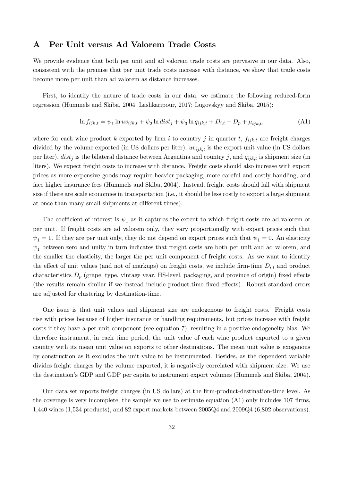# A Per Unit versus Ad Valorem Trade Costs

We provide evidence that both per unit and ad valorem trade costs are pervasive in our data. Also, consistent with the premise that per unit trade costs increase with distance, we show that trade costs become more per unit than ad valorem as distance increases.

First, to identify the nature of trade costs in our data, we estimate the following reduced-form regression (Hummels and Skiba, 2004; Lashkaripour, 2017; Lugovskyy and Skiba, 2015):

$$
\ln f_{ijk,t} = \psi_1 \ln u v_{ijk,t} + \psi_2 \ln dist_j + \psi_3 \ln q_{ijk,t} + D_{i,t} + D_p + \mu_{ijk,t},
$$
\n(A1)

where for each wine product k exported by firm i to country j in quarter t,  $f_{ijk,t}$  are freight charges divided by the volume exported (in US dollars per liter),  $uv_{ijk,t}$  is the export unit value (in US dollars per liter),  $dist_j$  is the bilateral distance between Argentina and country j, and  $q_{ijk,t}$  is shipment size (in liters). We expect freight costs to increase with distance. Freight costs should also increase with export prices as more expensive goods may require heavier packaging, more careful and costly handling, and face higher insurance fees (Hummels and Skiba, 2004). Instead, freight costs should fall with shipment size if there are scale economies in transportation (i.e., it should be less costly to export a large shipment at once than many small shipments at different times).

The coefficient of interest is  $\psi_1$  as it captures the extent to which freight costs are ad valorem or per unit. If freight costs are ad valorem only, they vary proportionally with export prices such that  $\psi_1 = 1$ . If they are per unit only, they do not depend on export prices such that  $\psi_1 = 0$ . An elasticity  $\psi_1$  between zero and unity in turn indicates that freight costs are both per unit and ad valorem, and the smaller the elasticity, the larger the per unit component of freight costs. As we want to identify the effect of unit values (and not of markups) on freight costs, we include firm-time  $D_{i,t}$  and product characteristics  $D_p$  (grape, type, vintage year, HS-level, packaging, and province of origin) fixed effects (the results remain similar if we instead include product-time fixed effects). Robust standard errors are adjusted for clustering by destination-time.

One issue is that unit values and shipment size are endogenous to freight costs. Freight costs rise with prices because of higher insurance or handling requirements, but prices increase with freight costs if they have a per unit component (see equation 7), resulting in a positive endogeneity bias. We therefore instrument, in each time period, the unit value of each wine product exported to a given country with its mean unit value on exports to other destinations. The mean unit value is exogenous by construction as it excludes the unit value to be instrumented. Besides, as the dependent variable divides freight charges by the volume exported, it is negatively correlated with shipment size. We use the destination's GDP and GDP per capita to instrument export volumes (Hummels and Skiba, 2004).

Our data set reports freight charges (in US dollars) at the firm-product-destination-time level. As the coverage is very incomplete, the sample we use to estimate equation  $(A1)$  only includes 107 firms, 1,440 wines (1,534 products), and 82 export markets between 2005Q4 and 2009Q4 (6,802 observations).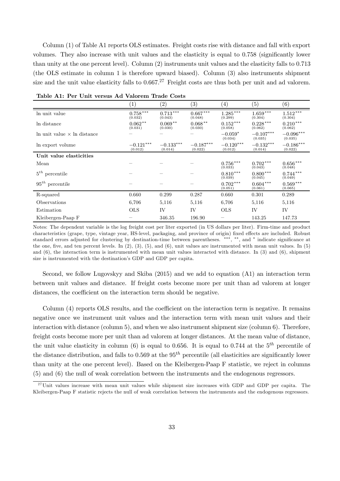Column (1) of Table A1 reports OLS estimates. Freight costs rise with distance and fall with export volumes. They also increase with unit values and the elasticity is equal to 0.758 (significantly lower than unity at the one percent level). Column (2) instruments unit values and the elasticity falls to 0713 (the OLS estimate in column 1 is therefore upward biased). Column (3) also instruments shipment size and the unit value elasticity falls to  $0.667<sup>.27</sup>$  Freight costs are thus both per unit and ad valorem.

|                                    | $\left( 1\right)$      | $\left( 2\right)$      | $\left( 3\right)$      | $\left( 4\right)$      | (5)                    | $\left( 6\right)$      |
|------------------------------------|------------------------|------------------------|------------------------|------------------------|------------------------|------------------------|
| In unit value                      | $0.758***$<br>(0.032)  | $0.713***$<br>(0.043)  | $0.667***$<br>(0.048)  | $1.285***$<br>(0.299)  | $1.659***$<br>(0.304)  | $1.512***$<br>(0.304)  |
| In distance                        | $0.062**$<br>(0.031)   | $0.069**$<br>(0.030)   | $0.068**$<br>(0.030)   | $0.152***$<br>(0.058)  | $0.228***$<br>(0.062)  | $0.210***$<br>(0.062)  |
| In unit value $\times$ In distance |                        |                        |                        | $-0.059*$<br>(0.034)   | $-0.107***$<br>(0.035) | $-0.096***$<br>(0.035) |
| In export volume                   | $-0.121***$<br>(0.012) | $-0.133***$<br>(0.014) | $-0.187***$<br>(0.022) | $-0.120***$<br>(0.012) | $-0.132***$<br>(0.014) | $-0.186***$<br>(0.022) |
| Unit value elasticities            |                        |                        |                        |                        |                        |                        |
| Mean                               |                        |                        |                        | $0.756***$<br>(0.033)  | $0.702***$<br>(0.043)  | $0.656***$<br>(0.048)  |
| $5^{th}$ percentile                |                        |                        |                        | $0.810***$<br>(0.039)  | $0.800***$<br>(0.045)  | $0.744***$<br>(0.049)  |
| $95^{th}$ percentile               |                        |                        |                        | $0.702***$<br>(0.051)  | $0.604***$<br>(0.061)  | $0.569***$<br>(0.065)  |
| R-squared                          | 0.660                  | 0.299                  | 0.287                  | 0.660                  | 0.301                  | 0.289                  |
| Observations                       | 6,706                  | 5.116                  | 5.116                  | 6,706                  | 5,116                  | 5,116                  |
| Estimation                         | <b>OLS</b>             | IV                     | IV                     | <b>OLS</b>             | IV                     | IV                     |
| Kleibergen-Paap F                  |                        | 346.35                 | 196.90                 |                        | 143.25                 | 147.73                 |

Table A1: Per Unit versus Ad Valorem Trade Costs

Notes: The dependent variable is the log freight cost per liter exported (in US dollars per liter). Firm-time and product characteristics (grape, type, vintage year, HS-level, packaging, and province of origin) fixed effects are included. Robust standard errors adjusted for clustering by destination-time between parentheses. \*\*\*, \*\*, and \* indicate significance at the one, five, and ten percent levels. In  $(2)$ ,  $(3)$ ,  $(5)$ , and  $(6)$ , unit values are instrumented with mean unit values. In  $(5)$ and (6), the interaction term is instrumented with mean unit values interacted with distance. In (3) and (6), shipment size is instrumented with the destination's GDP and GDP per capita.

Second, we follow Lugovskyy and Skiba (2015) and we add to equation (A1) an interaction term between unit values and distance. If freight costs become more per unit than ad valorem at longer distances, the coefficient on the interaction term should be negative.

Column  $(4)$  reports OLS results, and the coefficient on the interaction term is negative. It remains negative once we instrument unit values and the interaction term with mean unit values and their interaction with distance (column 5), and when we also instrument shipment size (column 6). Therefore, freight costs become more per unit than ad valorem at longer distances. At the mean value of distance, the unit value elasticity in column (6) is equal to 0.656. It is equal to 0.744 at the  $5<sup>th</sup>$  percentile of the distance distribution, and falls to 0.569 at the  $95<sup>th</sup>$  percentile (all elasticities are significantly lower than unity at the one percent level). Based on the Kleibergen-Paap F statistic, we reject in columns (5) and (6) the null of weak correlation between the instruments and the endogenous regressors.

 $^{27}$ Unit values increase with mean unit values while shipment size increases with GDP and GDP per capita. The Kleibergen-Paap F statistic rejects the null of weak correlation between the instruments and the endogenous regressors.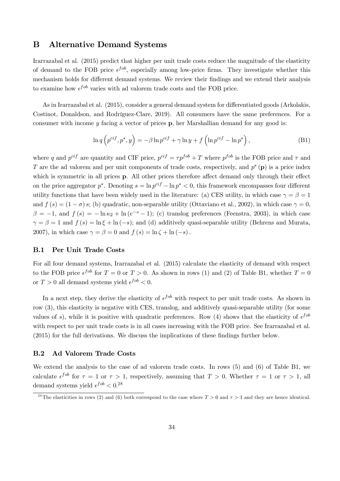# B Alternative Demand Systems

Irarrazabal et al. (2015) predict that higher per unit trade costs reduce the magnitude of the elasticity of demand to the FOB price  $\epsilon^{fob}$ , especially among low-price firms. They investigate whether this mechanism holds for different demand systems. We review their findings and we extend their analysis to examine how  $\epsilon^{job}$  varies with ad valorem trade costs and the FOB price.

As in Irarrazabal et al. (2015), consider a general demand system for differentiated goods (Arkolakis, Costinot, Donaldson, and Rodríguez-Clare, 2019). All consumers have the same preferences. For a consumer with income  $y$  facing a vector of prices  $p$ , her Marshallian demand for any good is:

$$
\ln q \left( p^{cif}, p^*, y \right) = -\beta \ln p^{cif} + \gamma \ln y + f \left( \ln p^{cif} - \ln p^* \right),\tag{B1}
$$

where q and  $p^{cif}$  are quantity and CIF price,  $p^{cif} = \tau p^{fob} + T$  where  $p^{fob}$  is the FOB price and  $\tau$  and T are the ad valorem and per unit components of trade costs, respectively, and  $p^*$  (p) is a price index which is symmetric in all prices  $\bf{p}$ . All other prices therefore affect demand only through their effect on the price aggregator  $p^*$ . Denoting  $s = \ln p^{cf} - \ln p^* < 0$ , this framework encompasses four different utility functions that have been widely used in the literature: (a) CES utility, in which case  $\gamma = \beta = 1$ and  $f(s) = (1 - \sigma)s$ ; (b) quadratic, non-separable utility (Ottaviano et al., 2002), in which case  $\gamma = 0$ ,  $\beta = -1$ , and  $f(s) = -\ln \kappa_2 + \ln(e^{-s} - 1)$ ; (c) translog preferences (Feenstra, 2003), in which case  $\gamma = \beta = 1$  and  $f(s) = \ln \xi + \ln(-s)$ ; and (d) additively quasi-separable utility (Behrens and Murata, 2007), in which case  $\gamma = \beta = 0$  and  $f(s) = \ln \zeta + \ln(-s)$ .

#### B.1 Per Unit Trade Costs

For all four demand systems, Irarrazabal et al. (2015) calculate the elasticity of demand with respect to the FOB price  $\epsilon^{fob}$  for  $T = 0$  or  $T > 0$ . As shown in rows (1) and (2) of Table B1, whether  $T = 0$ or  $T > 0$  all demand systems yield  $\epsilon^{fob} < 0$ .

In a next step, they derive the elasticity of  $\epsilon^{fob}$  with respect to per unit trade costs. As shown in row (3), this elasticity is negative with CES, translog, and additively quasi-separable utility (for some values of s), while it is positive with quadratic preferences. Row (4) shows that the elasticity of  $\epsilon^{fob}$ with respect to per unit trade costs is in all cases increasing with the FOB price. See Irarrazabal et al.  $(2015)$  for the full derivations. We discuss the implications of these findings further below.

#### B.2 Ad Valorem Trade Costs

We extend the analysis to the case of ad valorem trade costs. In rows (5) and (6) of Table B1, we calculate  $\epsilon^{fob}$  for  $\tau = 1$  or  $\tau > 1$ , respectively, assuming that  $T > 0$ . Whether  $\tau = 1$  or  $\tau > 1$ , all demand systems yield  $\epsilon^{fob} < 0.28$ 

<sup>&</sup>lt;sup>28</sup>The elasticities in rows (2) and (6) both correspond to the case where  $T > 0$  and  $\tau > 1$  and they are hence identical.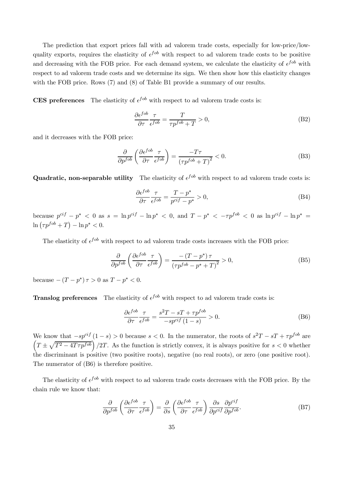The prediction that export prices fall with ad valorem trade costs, especially for low-price/lowquality exports, requires the elasticity of  $\epsilon^{fob}$  with respect to ad valorem trade costs to be positive and decreasing with the FOB price. For each demand system, we calculate the elasticity of  $\epsilon^{fob}$  with respect to ad valorem trade costs and we determine its sign. We then show how this elasticity changes with the FOB price. Rows (7) and (8) of Table B1 provide a summary of our results.

**CES** preferences The elasticity of  $e^{f \circ b}$  with respect to ad valorem trade costs is:

$$
\frac{\partial \epsilon^{fob}}{\partial \tau} \frac{\tau}{\epsilon^{fob}} = \frac{T}{\tau p^{fob} + T} > 0,
$$
\n(B2)

and it decreases with the FOB price:

$$
\frac{\partial}{\partial p^{fob}} \left( \frac{\partial \epsilon^{fob}}{\partial \tau} \frac{\tau}{\epsilon^{fob}} \right) = \frac{-T\tau}{\left( \tau p^{fob} + T \right)^2} < 0. \tag{B3}
$$

**Quadratic, non-separable utility** The elasticity of  $\epsilon^{fob}$  with respect to ad valorem trade costs is:

$$
\frac{\partial \epsilon^{fob}}{\partial \tau} \frac{\tau}{\epsilon^{fob}} = \frac{T - p^*}{p^{ci f} - p^*} > 0,
$$
\n(B4)

because  $p^{cif} - p^* < 0$  as  $s = \ln p^{cif} - \ln p^* < 0$ , and  $T - p^* < -\tau p^{fob} < 0$  as  $\ln p^{cif} - \ln p^* =$  $\ln ( \tau p^{fob} + T ) - \ln p^* < 0.$ 

The elasticity of  $\epsilon^{job}$  with respect to ad valorem trade costs increases with the FOB price:

$$
\frac{\partial}{\partial p^{fob}} \left( \frac{\partial \epsilon^{fob}}{\partial \tau} \frac{\tau}{\epsilon^{fob}} \right) = \frac{-\left(T - p^*\right)\tau}{\left(\tau p^{fob} - p^* + T\right)^2} > 0,
$$
\n(B5)

because  $-(T - p^*) \tau > 0$  as  $T - p^* < 0$ .

**Translog preferences** The elasticity of  $\epsilon^{fob}$  with respect to ad valorem trade costs is:

$$
\frac{\partial \epsilon^{fob}}{\partial \tau} \frac{\tau}{\epsilon^{fob}} = \frac{s^2 T - sT + \tau p^{fob}}{-s p^{cif} (1 - s)} > 0.
$$
 (B6)

We know that  $-sp^{cif}(1-s) > 0$  because  $s < 0$ . In the numerator, the roots of  $s^2T - sT + \tau p^{fob}$  are  $\left(T \pm \sqrt{T^2 - 4T\tau p^{fob}}\right)/2T$ . As the function is strictly convex, it is always positive for  $s < 0$  whether the discriminant is positive (two positive roots), negative (no real roots), or zero (one positive root). The numerator of (B6) is therefore positive.

The elasticity of  $\epsilon^{fob}$  with respect to ad valorem trade costs decreases with the FOB price. By the chain rule we know that:

$$
\frac{\partial}{\partial p^{fob}} \left( \frac{\partial \epsilon^{fob}}{\partial \tau} \frac{\tau}{\epsilon^{fob}} \right) = \frac{\partial}{\partial s} \left( \frac{\partial \epsilon^{fob}}{\partial \tau} \frac{\tau}{\epsilon^{fob}} \right) \frac{\partial s}{\partial p^{ci f}} \frac{\partial p^{ci f}}{\partial p^{fob}}.
$$
(B7)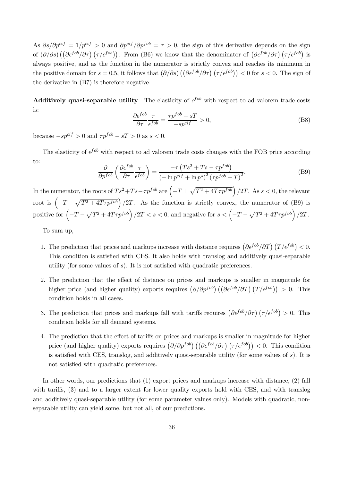As  $\partial s/\partial p^{cif} = 1/p^{cif} > 0$  and  $\partial p^{cif}/\partial p^{fob} = \tau > 0$ , the sign of this derivative depends on the sign of  $(\partial/\partial s) \left( (\partial \epsilon^{fob}/\partial \tau) (\tau/\epsilon^{fob}) \right)$ . From (B6) we know that the denominator of  $(\partial \epsilon^{fob}/\partial \tau) (\tau/\epsilon^{fob})$  is always positive, and as the function in the numerator is strictly convex and reaches its minimum in the positive domain for  $s = 0.5$ , it follows that  $\left(\frac{\partial}{\partial s}\right) \left(\left(\frac{\partial \epsilon^{f \circ b}}{\partial \tau}\right) \left(\frac{\tau}{\epsilon^{f \circ b}}\right)\right) < 0$  for  $s < 0$ . The sign of the derivative in (B7) is therefore negative.

**Additively quasi-separable utility** The elasticity of  $\epsilon^{fob}$  with respect to ad valorem trade costs is:

$$
\frac{\partial \epsilon^{fob}}{\partial \tau} \frac{\tau}{\epsilon^{fob}} = \frac{\tau p^{fob} - sT}{-sp^{ci f}} > 0,
$$
\n(B8)

because  $-sp^{cf} > 0$  and  $\tau p^{fob} - sT > 0$  as  $s < 0$ .

The elasticity of  $\epsilon^{job}$  with respect to ad valorem trade costs changes with the FOB price according to:

$$
\frac{\partial}{\partial p^{fob}} \left( \frac{\partial \epsilon^{fob}}{\partial \tau} \frac{\tau}{\epsilon^{fob}} \right) = \frac{-\tau (Ts^2 + Ts - \tau p^{fob})}{\left( -\ln p^{cif} + \ln p^* \right)^2 (\tau p^{fob} + T)^2}.
$$
\n(B9)

In the numerator, the roots of  $Ts^2+Ts-\tau p^{fob}$  are  $\left(-T\pm\sqrt{T^2+4T\tau p^{fob}}\right)/2T$ . As  $s<0$ , the relevant root is  $\left(-T-\sqrt{T^2+4T\tau p^{fob}}\right)/2T$ . As the function is strictly convex, the numerator of (B9) is positive for  $\left(-T-\sqrt{T^2+4T\tau p^{fob}}\right)/2T < s < 0$ , and negative for  $s < \left(-T-\sqrt{T^2+4T\tau p^{fob}}\right)/2T$ .

To sum up,

- 1. The prediction that prices and markups increase with distance requires  $\left(\frac{\partial \epsilon^{fob}}{\partial T}\right) (T/\epsilon^{fob}) < 0$ . This condition is satisfied with CES. It also holds with translog and additively quasi-separable utility (for some values of  $s$ ). It is not satisfied with quadratic preferences.
- 2. The prediction that the effect of distance on prices and markups is smaller in magnitude for higher price (and higher quality) exports requires  $(\partial/\partial p^{fob})((\partial \epsilon^{fob}/\partial T)(T/\epsilon^{fob})) > 0$ . This condition holds in all cases.
- 3. The prediction that prices and markups fall with tariffs requires  $\left(\frac{\partial \epsilon^{fob}}{\partial \tau}\right) \left(\frac{\tau}{\epsilon^{fob}}\right) > 0$ . This condition holds for all demand systems.
- 4. The prediction that the effect of tariffs on prices and markups is smaller in magnitude for higher price (and higher quality) exports requires  $(\partial/\partial p^{fob}) ((\partial \epsilon^{fob}/\partial \tau) (\tau/\epsilon^{fob})) < 0$ . This condition is satisfied with CES, translog, and additively quasi-separable utility (for some values of  $s$ ). It is not satisfied with quadratic preferences.

In other words, our predictions that (1) export prices and markups increase with distance, (2) fall with tariffs, (3) and to a larger extent for lower quality exports hold with CES, and with translog and additively quasi-separable utility (for some parameter values only). Models with quadratic, nonseparable utility can yield some, but not all, of our predictions.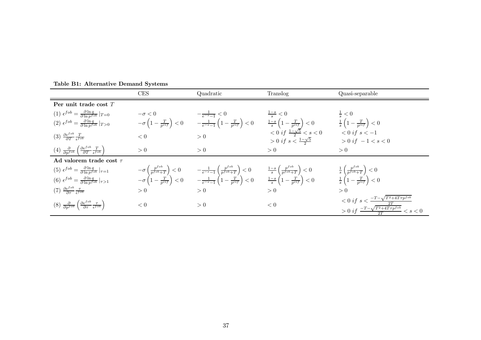|                                                                                                                                    | CES | Quadratic                                                                                                                                                                                                                                                                                                                                                                                | Translog                                                                                                                                                                                                                                                                                                                                                                                                                     | Quasi-separable                                                                                                                    |
|------------------------------------------------------------------------------------------------------------------------------------|-----|------------------------------------------------------------------------------------------------------------------------------------------------------------------------------------------------------------------------------------------------------------------------------------------------------------------------------------------------------------------------------------------|------------------------------------------------------------------------------------------------------------------------------------------------------------------------------------------------------------------------------------------------------------------------------------------------------------------------------------------------------------------------------------------------------------------------------|------------------------------------------------------------------------------------------------------------------------------------|
| Per unit trade cost $T$                                                                                                            |     |                                                                                                                                                                                                                                                                                                                                                                                          |                                                                                                                                                                                                                                                                                                                                                                                                                              |                                                                                                                                    |
| (1) $\epsilon^{fob} = \frac{\partial \ln q}{\partial \ln p^{fob}} _{T=0}$                                                          |     |                                                                                                                                                                                                                                                                                                                                                                                          |                                                                                                                                                                                                                                                                                                                                                                                                                              |                                                                                                                                    |
| (2) $\epsilon^{fob} = \frac{\partial \ln q}{\partial \ln n^{fob}} _{T>0}$                                                          |     |                                                                                                                                                                                                                                                                                                                                                                                          |                                                                                                                                                                                                                                                                                                                                                                                                                              |                                                                                                                                    |
| (3) $\frac{\partial \epsilon^{fob}}{\partial T} \frac{T}{\epsilon^{fob}}$                                                          |     |                                                                                                                                                                                                                                                                                                                                                                                          | $\begin{array}{llll} -\sigma < 0 & & \frac{-1}{e^{-s}-1} < 0 & \frac{1-s}{s} < 0 & \frac{1}{s} < 0 \\ -\sigma \left( 1 - \frac{T}{p^{cif}} \right) < 0 & & \frac{-1}{e^{-s}-1} \left( 1 - \frac{T}{p^{cif}} \right) < 0 & & \frac{1-s}{s} \left( 1 - \frac{T}{p^{cif}} \right) < 0 & & \frac{1}{s} \left( 1 - \frac{T}{p^{cif}} \right) < 0 \\ < 0 & & > 0 & & < 0 \; if \; s < \frac{1-\sqrt{5}}{2} < s < 0 & < 0 \; if \;$ | $> 0$ if $-1 < s < 0$                                                                                                              |
| (4) $\frac{\partial}{\partial p^{fob}} \left( \frac{\partial \epsilon^{fob}}{\partial T} \frac{T}{\epsilon^{fob}} \right)$         | > 0 | > 0                                                                                                                                                                                                                                                                                                                                                                                      | > 0                                                                                                                                                                                                                                                                                                                                                                                                                          | > 0                                                                                                                                |
| Ad valorem trade cost $\tau$                                                                                                       |     |                                                                                                                                                                                                                                                                                                                                                                                          |                                                                                                                                                                                                                                                                                                                                                                                                                              |                                                                                                                                    |
| $(5) \epsilon^{fob} = \frac{\partial \ln q}{\partial \ln p^{fob}} _{\tau=1}$                                                       |     | $\begin{array}{lll} -\sigma\left(\frac{p^{fob}}{p^{fob}+T}\right)<0 & \quad -\frac{1}{e^{-s}-1}\left(\frac{p^{fob}}{p^{fob}+T}\right)<0 & \quad \frac{1-s}{s}\left(\frac{p^{fob}}{p^{fob}+T}\right)<0 \\ -\sigma\left(1-\frac{T}{p^{ci f}}\right)<0 & \quad -\frac{1}{e^{-s}-1}\left(1-\frac{T}{p^{ci f}}\right)<0 & \quad \frac{1-s}{s}\left(1-\frac{T}{p^{ci f}}\right)<0 \end{array}$ |                                                                                                                                                                                                                                                                                                                                                                                                                              | $\frac{1}{s}\left(\frac{p^{fob}}{p^{fob}+T}\right) < 0$<br>$\frac{1}{s}\left(1-\frac{T}{p^{cif}}\right) < 0$                       |
| (6) $\epsilon^{fob} = \frac{\partial \ln q}{\partial \ln p^{fob}} _{\tau > 1}$                                                     |     |                                                                                                                                                                                                                                                                                                                                                                                          |                                                                                                                                                                                                                                                                                                                                                                                                                              |                                                                                                                                    |
| $(7) \frac{\partial \epsilon^{fob}}{\partial \tau} \frac{\tau}{\epsilon^{fob}}$                                                    | > 0 | > 0                                                                                                                                                                                                                                                                                                                                                                                      | > 0                                                                                                                                                                                                                                                                                                                                                                                                                          | > 0                                                                                                                                |
| $(8)$ $\frac{\partial}{\partial p^{fob}} \left( \frac{\partial \epsilon^{fob}}{\partial \tau} \frac{\tau}{\epsilon^{fob}} \right)$ | < 0 | > 0                                                                                                                                                                                                                                                                                                                                                                                      | < 0                                                                                                                                                                                                                                                                                                                                                                                                                          | $< 0 \text{ if } s < \frac{-T-\sqrt{T^2+4T\tau p^{fob}}}{2T}$<br>$> 0 \text{ if } \frac{-T-\sqrt{T^2+4T\tau p^{fob}}}{2T} < s < 0$ |

Table B1: Alternative Demand Systems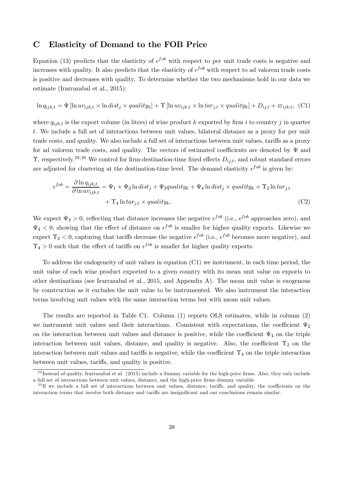# C Elasticity of Demand to the FOB Price

Equation (13) predicts that the elasticity of  $\epsilon^{fob}$  with respect to per unit trade costs is negative and increases with quality. It also predicts that the elasticity of  $\epsilon^{fob}$  with respect to ad valorem trade costs is positive and decreases with quality. To determine whether the two mechanisms hold in our data we estimate (Irarrazabal et al., 2015):

$$
\ln q_{ijk,t} = \Psi \left[ \ln uv_{ijk,t} \times \ln dist_j \times quality_k \right] + \Upsilon \left[ \ln uv_{ijk,t} \times \ln tar_{j,t} \times quality_k \right] + D_{ij,t} + \varpi_{ijk,t}, \tag{C1}
$$

where  $q_{ijk,t}$  is the export volume (in liters) of wine product k exported by firm i to country j in quarter . We include a full set of interactions between unit values, bilateral distance as a proxy for per unit trade costs, and quality. We also include a full set of interactions between unit values, tariffs as a proxy for ad valorem trade costs, and quality. The vectors of estimated coefficients are denoted by  $\Psi$  and  $\Upsilon$ , respectively.<sup>29,30</sup> We control for firm-destination-time fixed effects  $D_{ij,t}$ , and robust standard errors are adjusted for clustering at the destination-time level. The demand elasticity  $\epsilon^{fob}$  is given by:

$$
\epsilon^{fob} = \frac{\partial \ln q_{ijk,t}}{\partial \ln uv_{ijk,t}} = \Psi_1 + \Psi_2 \ln dist_j + \Psi_3 quality_k + \Psi_4 \ln dist_j \times quality_k + \Upsilon_2 \ln tar_{j,t} + \Upsilon_4 \ln tar_{j,t} \times quality_k.
$$
 (C2)

We expect  $\Psi_2 > 0$ , reflecting that distance increases the negative  $\epsilon^{fob}$  (i.e.,  $\epsilon^{fob}$  approaches zero), and  $\Psi_4 < 0$ , showing that the effect of distance on  $\epsilon^{fob}$  is smaller for higher quality exports. Likewise we expect  $\Upsilon_2 < 0$ , capturing that tariffs decrease the negative  $\epsilon^{fob}$  (i.e.,  $\epsilon^{fob}$  becomes more negative), and  $\Upsilon_4 > 0$  such that the effect of tariffs on  $\epsilon^{fob}$  is smaller for higher quality exports.

To address the endogeneity of unit values in equation (C1) we instrument, in each time period, the unit value of each wine product exported to a given country with its mean unit value on exports to other destinations (see Irarrazabal et al., 2015, and Appendix A). The mean unit value is exogenous by construction as it excludes the unit value to be instrumented. We also instrument the interaction terms involving unit values with the same interaction terms but with mean unit values.

The results are reported in Table C1. Column (1) reports OLS estimates, while in column (2) we instrument unit values and their interactions. Consistent with expectations, the coefficient  $\Psi_2$ on the interaction between unit values and distance is positive, while the coefficient  $\Psi_4$  on the triple interaction between unit values, distance, and quality is negative. Also, the coefficient  $\Upsilon_2$  on the interaction between unit values and tariffs is negative, while the coefficient  $\Upsilon_4$  on the triple interaction between unit values, tariffs, and quality is positive.

 $^{29}$  Instead of quality, Irarrazabal et al. (2015) include a dummy variable for the high-price firms. Also, they only include a full set of interactions between unit values, distance, and the high-price firms dummy variable.

 $30$  If we include a full set of interactions between unit values, distance, tariffs, and quality, the coefficients on the interaction terms that involve both distance and tariffs are insignificant and our conclusions remain similar.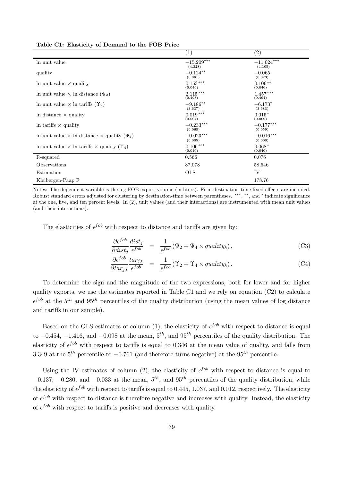|                                                                   | (1)                     | (2)                                 |
|-------------------------------------------------------------------|-------------------------|-------------------------------------|
| In unit value                                                     | $-15.209***$<br>(4.328) | $-11.024^{\ast\ast\ast}$<br>(4.105) |
| quality                                                           | $-0.124**$<br>(0.061)   | $-0.065$<br>(0.073)                 |
| In unit value $\times$ quality                                    | $0.153***$<br>(0.046)   | $0.106**$<br>(0.046)                |
| In unit value $\times$ In distance $(\Psi_2)$                     | $2.115***$<br>(0.498)   | $1.457***$<br>(0.494)               |
| In unit value $\times$ In tariffs $(\Upsilon_2)$                  | $-9.186**$<br>(3.637)   | $-6.173*$<br>(3.683)                |
| In distance $\times$ quality                                      | $0.019***$<br>(0.007)   | $0.015*$<br>(0.009)                 |
| In tariffs $\times$ quality                                       | $-0.233***$<br>(0.060)  | $-0.177***$<br>(0.059)              |
| In unit value $\times$ ln distance $\times$ quality $(\Psi_4)$    | $-0.023***$<br>(0.005)  | $-0.016***$<br>(0.006)              |
| In unit value $\times$ ln tariffs $\times$ quality $(\Upsilon_4)$ | $0.106***$<br>(0.040)   | $0.068*$<br>(0.040)                 |
| R-squared                                                         | 0.566                   | 0.076                               |
| Observations                                                      | 87,078                  | 58,646                              |
| Estimation                                                        | <b>OLS</b>              | IV                                  |
| Kleibergen-Paap F                                                 |                         | 178.76                              |

Table C1: Elasticity of Demand to the FOB Price

Notes: The dependent variable is the log FOB export volume (in liters). Firm-destination-time fixed effects are included. Robust standard errors adjusted for clustering by destination-time between parentheses. \*\*\*, \*\*, and \* indicate significance at the one, five, and ten percent levels. In  $(2)$ , unit values (and their interactions) are instrumented with mean unit values (and their interactions).

The elasticities of  $\epsilon^{fob}$  with respect to distance and tariffs are given by:

$$
\frac{\partial \epsilon^{fob}}{\partial dist_j} \frac{dist_j}{\epsilon^{fob}} = \frac{1}{\epsilon^{fob}} (\Psi_2 + \Psi_4 \times quality_k), \tag{C3}
$$

$$
\frac{\partial \epsilon^{fob}}{\partial \tau_{j,t}} \frac{\tau_{j,t}}{\epsilon^{fob}} = \frac{1}{\epsilon^{fob}} (\Upsilon_2 + \Upsilon_4 \times \text{quality}_k). \tag{C4}
$$

To determine the sign and the magnitude of the two expressions, both for lower and for higher quality exports, we use the estimates reported in Table C1 and we rely on equation (C2) to calculate  $\epsilon^{fob}$  at the 5<sup>th</sup> and 95<sup>th</sup> percentiles of the quality distribution (using the mean values of log distance and tariffs in our sample).

Based on the OLS estimates of column (1), the elasticity of  $\epsilon^{fob}$  with respect to distance is equal to  $-0.454$ ,  $-1.416$ , and  $-0.098$  at the mean,  $5<sup>th</sup>$ , and  $95<sup>th</sup>$  percentiles of the quality distribution. The elasticity of  $\epsilon^{fob}$  with respect to tariffs is equal to 0.346 at the mean value of quality, and falls from 3.349 at the  $5^{th}$  percentile to  $-0.761$  (and therefore turns negative) at the  $95^{th}$  percentile.

Using the IV estimates of column (2), the elasticity of  $\epsilon^{fob}$  with respect to distance is equal to  $-0.137, -0.280,$  and  $-0.033$  at the mean,  $5<sup>th</sup>$ , and  $95<sup>th</sup>$  percentiles of the quality distribution, while the elasticity of  $\epsilon^{job}$  with respect to tariffs is equal to 0.445, 1.037, and 0.012, respectively. The elasticity of  $\epsilon^{fob}$  with respect to distance is therefore negative and increases with quality. Instead, the elasticity of  $\epsilon^{fob}$  with respect to tariffs is positive and decreases with quality.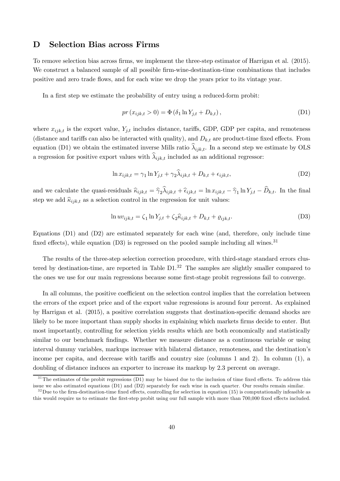# D Selection Bias across Firms

To remove selection bias across firms, we implement the three-step estimator of Harrigan et al. (2015). We construct a balanced sample of all possible firm-wine-destination-time combinations that includes positive and zero trade ‡ows, and for each wine we drop the years prior to its vintage year.

In a first step we estimate the probability of entry using a reduced-form probit:

$$
pr(x_{ijk,t} > 0) = \Phi(\delta_1 \ln Y_{j,t} + D_{k,t}),
$$
\n(D1)

where  $x_{ijk,t}$  is the export value,  $Y_{j,t}$  includes distance, tariffs, GDP, GDP per capita, and remoteness (distance and tariffs can also be interacted with quality), and  $D_{k,t}$  are product-time fixed effects. From equation (D1) we obtain the estimated inverse Mills ratio  $\lambda_{ijk,t}$ . In a second step we estimate by OLS a regression for positive export values with  $\lambda_{ijk,t}$  included as an additional regressor:

$$
\ln x_{ijk,t} = \gamma_1 \ln Y_{j,t} + \gamma_2 \lambda_{ijk,t} + D_{k,t} + \epsilon_{ijk,t},\tag{D2}
$$

and we calculate the quasi-residuals  $\hat{\kappa}_{ijk,t} = \hat{\gamma}_2 \lambda_{ijk,t} + \hat{\epsilon}_{ijk,t} = \ln x_{ijk,t} - \hat{\gamma}_1 \ln Y_{j,t} - D_{k,t}$ . In the final step we add  $\hat{\kappa}_{ijk,t}$  as a selection control in the regression for unit values:

$$
\ln uv_{ijk,t} = \zeta_1 \ln Y_{j,t} + \zeta_2 \hat{\kappa}_{ijk,t} + D_{k,t} + \varrho_{ijk,t}.
$$
\n(D3)

Equations (D1) and (D2) are estimated separately for each wine (and, therefore, only include time fixed effects), while equation  $(D3)$  is regressed on the pooled sample including all wines.<sup>31</sup>

The results of the three-step selection correction procedure, with third-stage standard errors clustered by destination-time, are reported in Table  $D1<sup>32</sup>$  The samples are slightly smaller compared to the ones we use for our main regressions because some first-stage probit regressions fail to converge.

In all columns, the positive coefficient on the selection control implies that the correlation between the errors of the export price and of the export value regressions is around four percent. As explained by Harrigan et al.  $(2015)$ , a positive correlation suggests that destination-specific demand shocks are likely to be more important than supply shocks in explaining which markets firms decide to enter. But most importantly, controlling for selection yields results which are both economically and statistically similar to our benchmark findings. Whether we measure distance as a continuous variable or using interval dummy variables, markups increase with bilateral distance, remoteness, and the destination's income per capita, and decrease with tariffs and country size (columns 1 and 2). In column  $(1)$ , a doubling of distance induces an exporter to increase its markup by 2.3 percent on average.

 $31$ The estimates of the probit regressions (D1) may be biased due to the inclusion of time fixed effects. To address this issue we also estimated equations (D1) and (D2) separately for each wine in each quarter. Our results remain similar.

 $32$ Due to the firm-destination-time fixed effects, controlling for selection in equation (15) is computationally infeasible as this would require us to estimate the first-step probit using our full sample with more than 700,000 fixed effects included.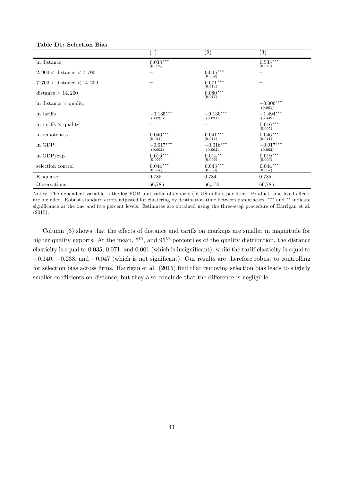| Table D1: Selection Bias |  |
|--------------------------|--|
|--------------------------|--|

|                               | (1)                        | $\left( 2\right)$       | $\left( 3\right)$      |
|-------------------------------|----------------------------|-------------------------|------------------------|
| In distance                   | $0.033^{\,***}$<br>(0.006) |                         | $0.535***$<br>(0.070)  |
| $2,900 <$ distance $< 7,700$  |                            | $0.045***$<br>(0.009)   |                        |
| $7,700 <$ distance $< 14,200$ |                            | $0.071***$<br>(0.014)   |                        |
| distance $> 14,200$           |                            | $0.080***$<br>(0.017)   |                        |
| In distance $\times$ quality  |                            |                         | $-0.006***$<br>(0.001) |
| In tariffs                    | $-0.135***$<br>(0.035)     | $-0.130***$<br>(0.031)  | $-1.494***$<br>(0.449) |
| In tariffs $\times$ quality   |                            |                         | $0.016***$<br>(0.005)  |
| In remoteness                 | $0.046***$<br>(0.011)      | $0.041***$<br>(0.011)   | $0.046***$<br>(0.011)  |
| In GDP                        | $-0.017***$<br>(0.002)     | $-0.016***$<br>(0.002)  | $-0.017***$<br>(0.002) |
| $ln$ GDP/cap                  | $0.019***$<br>(0.006)      | $0.014***$<br>(0.006)   | $0.019***$<br>(0.006)  |
| selection control             | $0.044***$<br>(0.007)      | $0.043\,***$<br>(0.008) | $0.044***$<br>(0.007)  |
| R-squared                     | 0.785                      | 0.784                   | 0.785                  |
| Observations                  | 66,785                     | 66,578                  | 66,785                 |

Notes: The dependent variable is the log FOB unit value of exports (in US dollars per liter). Product-time fixed effects are included. Robust standard errors adjusted for clustering by destination-time between parentheses. \*\*\* and \*\* indicate significance at the one and five percent levels. Estimates are obtained using the three-step procedure of Harrigan et al. (2015).

Column  $(3)$  shows that the effects of distance and tariffs on markups are smaller in magnitude for higher quality exports. At the mean,  $5^{th}$ , and  $95^{th}$  percentiles of the quality distribution, the distance elasticity is equal to 0.035, 0.071, and 0.001 (which is insignificant), while the tariff elasticity is equal to  $-0.140$ ,  $-0.238$ , and  $-0.047$  (which is not significant). Our results are therefore robust to controlling for selection bias across firms. Harrigan et al.  $(2015)$  find that removing selection bias leads to slightly smaller coefficients on distance, but they also conclude that the difference is negligible.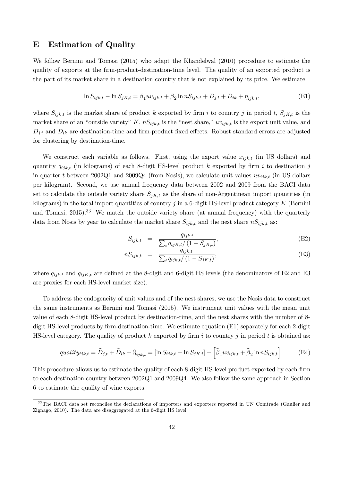# E Estimation of Quality

We follow Bernini and Tomasi (2015) who adapt the Khandelwal (2010) procedure to estimate the quality of exports at the firm-product-destination-time level. The quality of an exported product is the part of its market share in a destination country that is not explained by its price. We estimate:

$$
\ln S_{ijk,t} - \ln S_{jK,t} = \beta_1 u v_{ijk,t} + \beta_2 \ln n S_{ijk,t} + D_{j,t} + D_{ik} + \eta_{ijk,t},
$$
(E1)

where  $S_{ijk,t}$  is the market share of product k exported by firm i to country j in period t,  $S_{jK,t}$  is the market share of an "outside variety" K,  $nS_{ijk,t}$  is the "nest share,"  $uv_{ijk,t}$  is the export unit value, and  $D_{i,t}$  and  $D_{ik}$  are destination-time and firm-product fixed effects. Robust standard errors are adjusted for clustering by destination-time.

We construct each variable as follows. First, using the export value  $x_{ijk,t}$  (in US dollars) and quantity  $q_{iik,t}$  (in kilograms) of each 8-digit HS-level product k exported by firm i to destination j in quarter t between 2002Q1 and 2009Q4 (from Nosis), we calculate unit values  $uv_{ijk,t}$  (in US dollars per kilogram). Second, we use annual frequency data between 2002 and 2009 from the BACI data set to calculate the outside variety share  $S_{jK,t}$  as the share of non-Argentinean import quantities (in kilograms) in the total import quantities of country  $j$  in a 6-digit HS-level product category  $K$  (Bernini and Tomasi,  $2015$ ).<sup>33</sup> We match the outside variety share (at annual frequency) with the quarterly data from Nosis by year to calculate the market share  $S_{ijk,t}$  and the nest share  $nS_{ijk,t}$  as:

$$
S_{ijk,t} = \frac{q_{ijk,t}}{\sum_{i} q_{ijK,t}/(1 - S_{jK,t})},
$$
(E2)

$$
nS_{ijk,t} = \frac{q_{ijk,t}}{\sum_{i} q_{ijk,t}/(1 - S_{jK,t})},
$$
(E3)

where  $q_{ijk,t}$  and  $q_{ijk,t}$  are defined at the 8-digit and 6-digit HS levels (the denominators of E2 and E3 are proxies for each HS-level market size).

To address the endogeneity of unit values and of the nest shares, we use the Nosis data to construct the same instruments as Bernini and Tomasi (2015). We instrument unit values with the mean unit value of each 8-digit HS-level product by destination-time, and the nest shares with the number of 8 digit HS-level products by firm-destination-time. We estimate equation  $(E1)$  separately for each 2-digit HS-level category. The quality of product  $k$  exported by firm  $i$  to country  $j$  in period  $t$  is obtained as:

$$
quality_{ijk,t} = \widehat{D}_{j,t} + \widehat{D}_{ik} + \widehat{\eta}_{ijk,t} = [\ln S_{ijk,t} - \ln S_{jK,t}] - \left[\widehat{\beta}_1 uv_{ijk,t} + \widehat{\beta}_2 \ln n S_{ijk,t}\right].
$$
 (E4)

This procedure allows us to estimate the quality of each 8-digit HS-level product exported by each firm to each destination country between 2002Q1 and 2009Q4. We also follow the same approach in Section 6 to estimate the quality of wine exports.

<sup>&</sup>lt;sup>33</sup>The BACI data set reconciles the declarations of importers and exporters reported in UN Comtrade (Gaulier and Zignago, 2010). The data are disaggregated at the 6-digit HS level.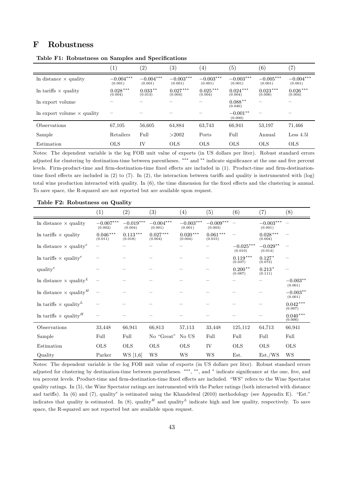# F Robustness

|                                   | $\left(1\right)$       | $\left( 2\right)$      | $\left(3\right)$       | 4)                     | (5)                    | (6)                    | $^{\prime}7)$          |
|-----------------------------------|------------------------|------------------------|------------------------|------------------------|------------------------|------------------------|------------------------|
| In distance $\times$ quality      | $-0.004***$<br>(0.001) | $-0.004***$<br>(0.001) | $-0.003***$<br>(0.001) | $-0.003***$<br>(0.001) | $-0.003***$<br>(0.001) | $-0.005***$<br>(0.001) | $-0.004***$<br>(0.001) |
| In tariffs $\times$ quality       | $0.028***$<br>(0.004)  | $0.033**$<br>(0.013)   | $0.027***$<br>(0.004)  | $0.025***$<br>(0.004)  | $0.024***$<br>(0.004)  | $0.023***$<br>(0.006)  | $0.026***$<br>(0.004)  |
| In export volume                  |                        |                        |                        |                        | $0.088**$<br>(0.040)   |                        |                        |
| In export volume $\times$ quality |                        |                        |                        |                        | $-0.001**$<br>(0.000)  |                        |                        |
| <i><b>Observations</b></i>        | 67,105                 | 56,605                 | 64,884                 | 63,743                 | 66,941                 | 53,197                 | 71,466                 |
| Sample                            | Retailers              | Full                   | >2002                  | Ports                  | Full                   | Annual                 | $Less\ 4.51$           |
| Estimation                        | <b>OLS</b>             | <b>IV</b>              | <b>OLS</b>             | <b>OLS</b>             | <b>OLS</b>             | <b>OLS</b>             | <b>OLS</b>             |

Table F1: Robustness on Samples and Specifications

Notes: The dependent variable is the log FOB unit value of exports (in US dollars per liter). Robust standard errors adjusted for clustering by destination-time between parentheses. \*\*\* and \*\* indicate significance at the one and five percent levels. Firm-product-time and firm-destination-time fixed effects are included in (1). Product-time and firm-destinationtime fixed effects are included in  $(2)$  to  $(7)$ . In  $(2)$ , the interaction between tariffs and quality is instrumented with  $(\log)$ total wine production interacted with quality. In  $(6)$ , the time dimension for the fixed effects and the clustering is annual. To save space, the R-squared are not reported but are available upon request.

|                                                  | (1)                    | $\left( 2\right)$      | $\left( 3\right)$      | $\left( 4\right)$      | (5)                    | (6)                    | (7)                    | (8)                   |
|--------------------------------------------------|------------------------|------------------------|------------------------|------------------------|------------------------|------------------------|------------------------|-----------------------|
| In distance $\times$ quality                     | $-0.007***$<br>(0.002) | $-0.019***$<br>(0.004) | $-0.004***$<br>(0.001) | $-0.003***$<br>(0.001) | $-0.009***$<br>(0.003) |                        | $-0.003***$<br>(0.001) |                       |
| In tariffs $\times$ quality                      | $0.046***$<br>(0.011)  | $0.113***$<br>(0.018)  | $0.027***$<br>(0.004)  | $0.020***$<br>(0.004)  | $0.061***$<br>(0.015)  |                        | $0.028***$<br>(0.004)  |                       |
| In distance $\times$ quality <sup>e</sup>        |                        |                        |                        |                        |                        | $-0.025***$<br>(0.010) | $-0.029**$<br>(0.014)  |                       |
| In tariffs $\times$ quality <sup>e</sup>         |                        |                        |                        |                        |                        | $0.119***$<br>(0.037)  | $0.127*$<br>(0.073)    |                       |
| quality <sup>e</sup>                             |                        |                        |                        |                        |                        | $0.200**$<br>(0.087)   | $0.213*$<br>(0.111)    |                       |
| In distance $\times$ quality <sup>L</sup>        |                        |                        |                        |                        |                        |                        |                        | $-0.003**$<br>(0.001) |
| In distance $\times$ quality <sup><i>H</i></sup> |                        |                        |                        |                        |                        |                        |                        | $-0.003**$<br>(0.001) |
| In tariffs $\times$ quality <sup>L</sup>         |                        |                        |                        |                        |                        |                        |                        | $0.042***$<br>(0.007) |
| In tariffs $\times$ quality <sup><i>H</i></sup>  |                        |                        |                        |                        |                        |                        |                        | $0.040***$<br>(0.006) |
| Observations                                     | 33,448                 | 66,941                 | 66,813                 | 57,113                 | 33,448                 | 125,112                | 64,713                 | 66,941                |
| Sample                                           | Full                   | Full                   | No "Great"             | No US                  | Full                   | Full                   | Full                   | Full                  |
| Estimation                                       | <b>OLS</b>             | <b>OLS</b>             | $_{\rm OLS}$           | <b>OLS</b>             | IV                     | <b>OLS</b>             | <b>OLS</b>             | <b>OLS</b>            |
| Quality                                          | Parker                 | WS [1,6]               | WS                     | WS                     | WS                     | Est.                   | Est./WS                | WS                    |

Table F2: Robustness on Quality

Notes: The dependent variable is the log FOB unit value of exports (in US dollars per liter). Robust standard errors adjusted for clustering by destination-time between parentheses. \*\*\*, \*\*, and \* indicate significance at the one, five, and ten percent levels. Product-time and firm-destination-time fixed effects are included. "WS" refers to the Wine Spectator quality ratings. In (5), the Wine Spectator ratings are instrumented with the Parker ratings (both interacted with distance and tariffs). In (6) and (7), quality<sup>e</sup> is estimated using the Khandelwal (2010) methodology (see Appendix E). "Est." indicates that quality is estimated. In (8), quality<sup>*H*</sup> and quality<sup>*L*</sup> indicate high and low quality, respectively. To save space, the R-squared are not reported but are available upon request.